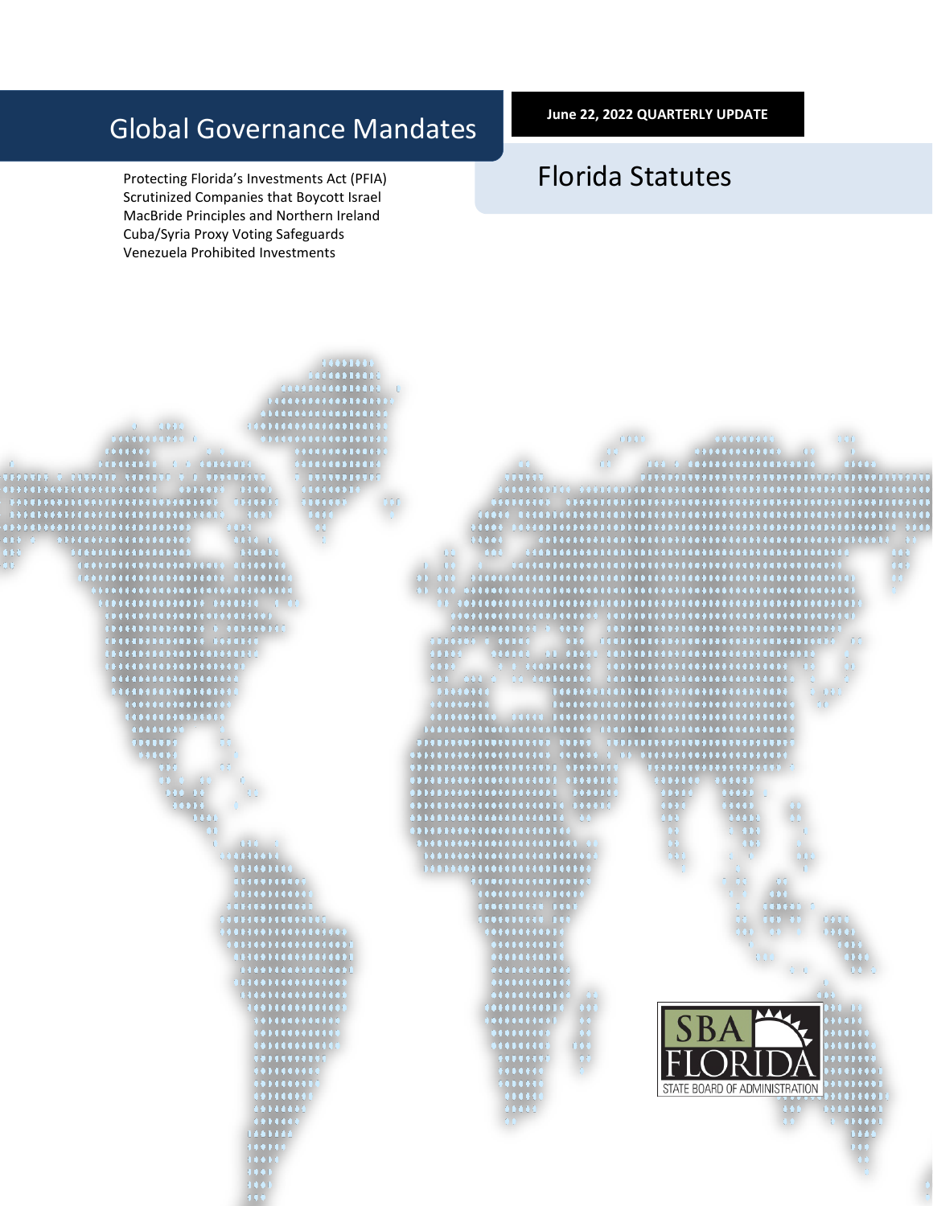# Global Governance Mandates

Protecting Florida's Investments Act (PFIA) Scrutinized Companies that Boycott Israel MacBride Principles and Northern Ireland Cuba/Syria Proxy Voting Safeguards Venezuela Prohibited Investments

**June 22, 2022 QUARTERLY UPDATE**

# Florida Statutes

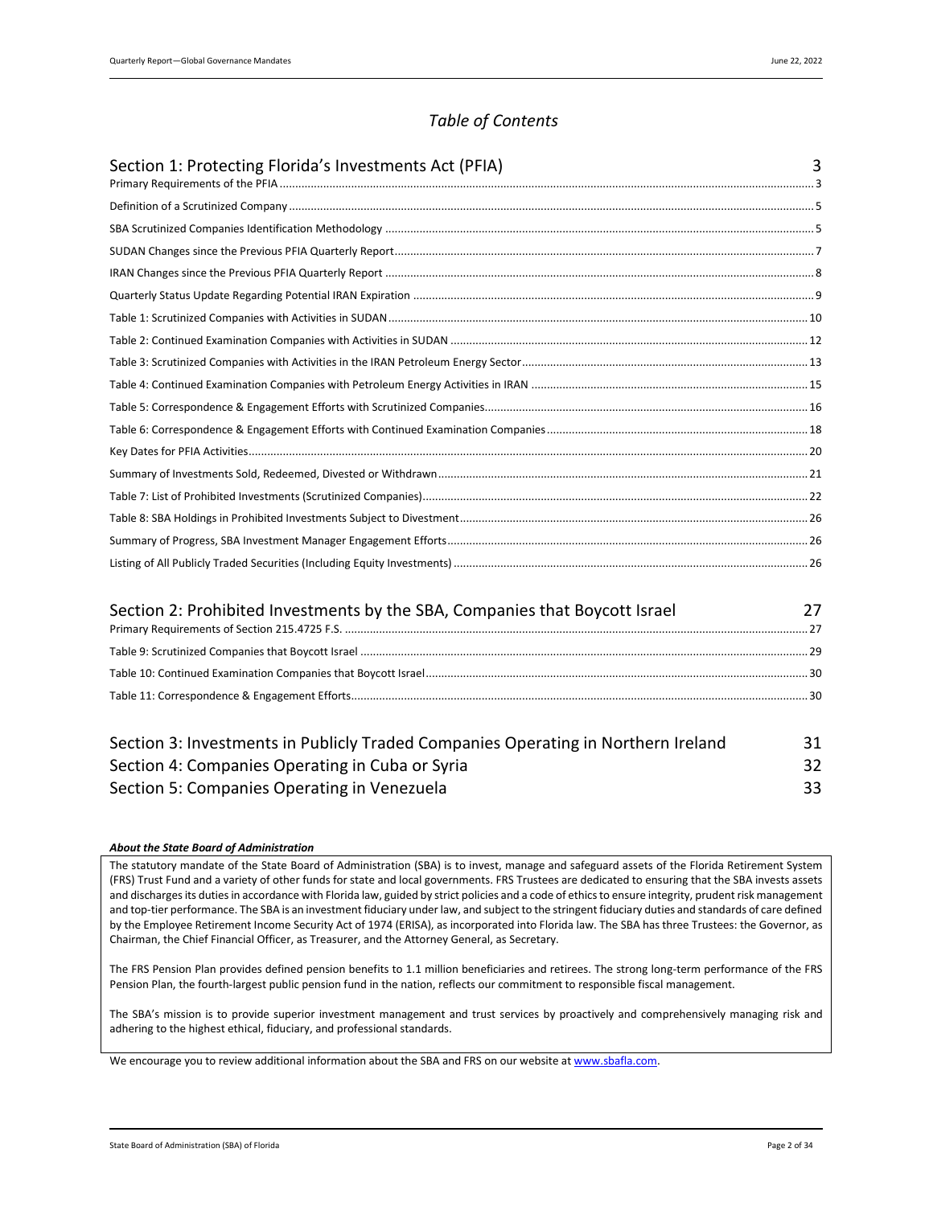# *Table of Contents*

| Section 1: Protecting Florida's Investments Act (PFIA) | 3 |
|--------------------------------------------------------|---|
|                                                        |   |
|                                                        |   |
|                                                        |   |
|                                                        |   |
|                                                        |   |
|                                                        |   |
|                                                        |   |
|                                                        |   |
|                                                        |   |
|                                                        |   |
|                                                        |   |
|                                                        |   |
|                                                        |   |
|                                                        |   |
|                                                        |   |
|                                                        |   |
|                                                        |   |
|                                                        |   |

| Section 2: Prohibited Investments by the SBA, Companies that Boycott Israel |  |
|-----------------------------------------------------------------------------|--|
|                                                                             |  |
|                                                                             |  |
|                                                                             |  |
|                                                                             |  |

| Section 3: Investments in Publicly Traded Companies Operating in Northern Ireland |    |
|-----------------------------------------------------------------------------------|----|
| Section 4: Companies Operating in Cuba or Syria                                   |    |
| Section 5: Companies Operating in Venezuela                                       | 33 |

#### *About the State Board of Administration*

The statutory mandate of the State Board of Administration (SBA) is to invest, manage and safeguard assets of the Florida Retirement System (FRS) Trust Fund and a variety of other funds for state and local governments. FRS Trustees are dedicated to ensuring that the SBA invests assets and discharges its duties in accordance with Florida law, guided by strict policies and a code of ethics to ensure integrity, prudent risk management and top-tier performance. The SBA is an investment fiduciary under law, and subject to the stringent fiduciary duties and standards of care defined by the Employee Retirement Income Security Act of 1974 (ERISA), as incorporated into Florida law. The SBA has three Trustees: the Governor, as Chairman, the Chief Financial Officer, as Treasurer, and the Attorney General, as Secretary.

The FRS Pension Plan provides defined pension benefits to 1.1 million beneficiaries and retirees. The strong long-term performance of the FRS Pension Plan, the fourth-largest public pension fund in the nation, reflects our commitment to responsible fiscal management.

The SBA's mission is to provide superior investment management and trust services by proactively and comprehensively managing risk and adhering to the highest ethical, fiduciary, and professional standards.

We encourage you to review additional information about the SBA and FRS on our website at www.sbafla.com.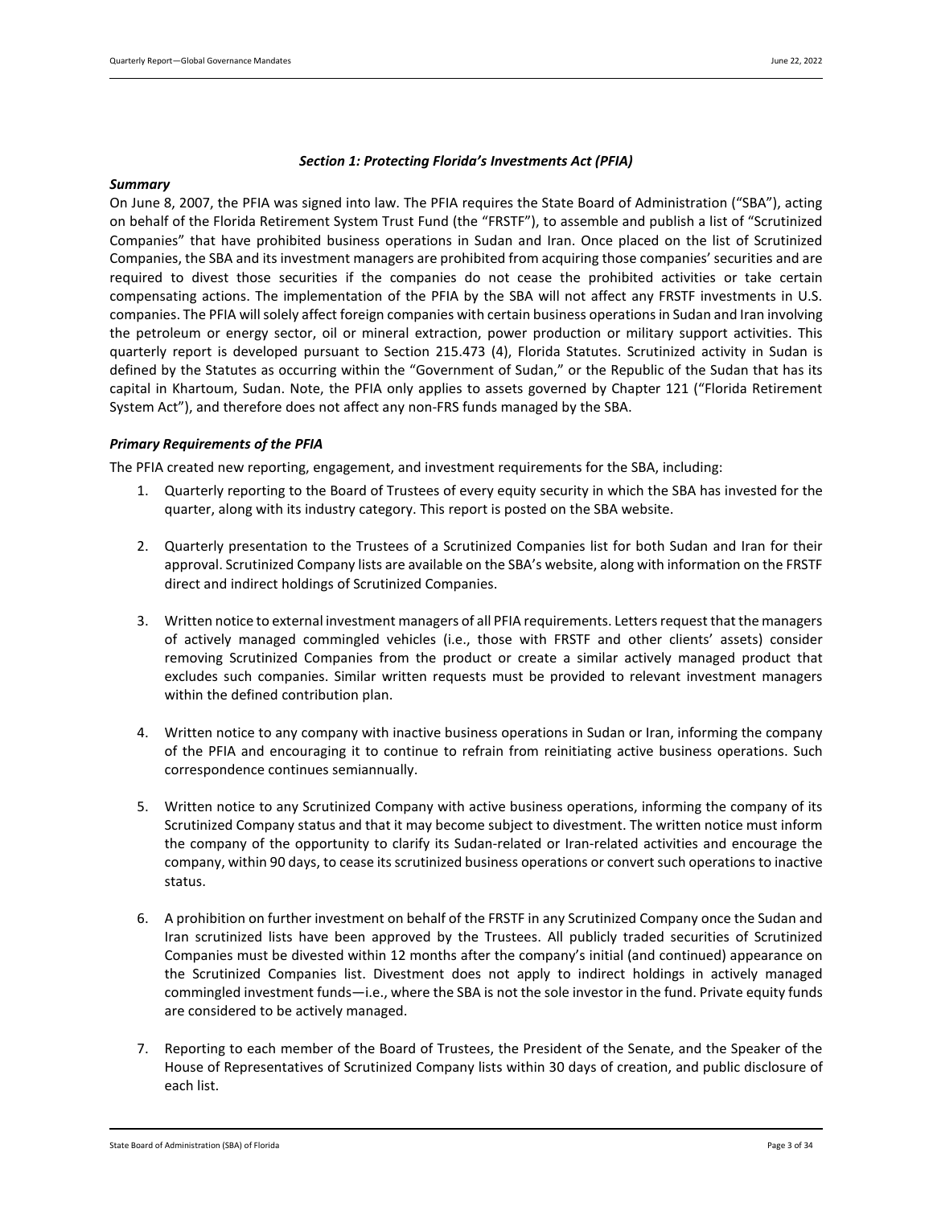### *Section 1: Protecting Florida's Investments Act (PFIA)*

#### <span id="page-2-0"></span>*Summary*

On June 8, 2007, the PFIA was signed into law. The PFIA requires the State Board of Administration ("SBA"), acting on behalf of the Florida Retirement System Trust Fund (the "FRSTF"), to assemble and publish a list of "Scrutinized Companies" that have prohibited business operations in Sudan and Iran. Once placed on the list of Scrutinized Companies, the SBA and its investment managers are prohibited from acquiring those companies' securities and are required to divest those securities if the companies do not cease the prohibited activities or take certain compensating actions. The implementation of the PFIA by the SBA will not affect any FRSTF investments in U.S. companies. The PFIA will solely affect foreign companies with certain business operations in Sudan and Iran involving the petroleum or energy sector, oil or mineral extraction, power production or military support activities. This quarterly report is developed pursuant to Section 215.473 (4), Florida Statutes. Scrutinized activity in Sudan is defined by the Statutes as occurring within the "Government of Sudan," or the Republic of the Sudan that has its capital in Khartoum, Sudan. Note, the PFIA only applies to assets governed by Chapter 121 ("Florida Retirement System Act"), and therefore does not affect any non-FRS funds managed by the SBA.

### <span id="page-2-1"></span>*Primary Requirements of the PFIA*

The PFIA created new reporting, engagement, and investment requirements for the SBA, including:

- 1. Quarterly reporting to the Board of Trustees of every equity security in which the SBA has invested for the quarter, along with its industry category. This report is posted on the SBA website.
- 2. Quarterly presentation to the Trustees of a Scrutinized Companies list for both Sudan and Iran for their approval. Scrutinized Company lists are available on the SBA's website, along with information on the FRSTF direct and indirect holdings of Scrutinized Companies.
- 3. Written notice to external investment managers of all PFIA requirements. Letters request that the managers of actively managed commingled vehicles (i.e., those with FRSTF and other clients' assets) consider removing Scrutinized Companies from the product or create a similar actively managed product that excludes such companies. Similar written requests must be provided to relevant investment managers within the defined contribution plan.
- 4. Written notice to any company with inactive business operations in Sudan or Iran, informing the company of the PFIA and encouraging it to continue to refrain from reinitiating active business operations. Such correspondence continues semiannually.
- 5. Written notice to any Scrutinized Company with active business operations, informing the company of its Scrutinized Company status and that it may become subject to divestment. The written notice must inform the company of the opportunity to clarify its Sudan-related or Iran-related activities and encourage the company, within 90 days, to cease its scrutinized business operations or convert such operations to inactive status.
- 6. A prohibition on further investment on behalf of the FRSTF in any Scrutinized Company once the Sudan and Iran scrutinized lists have been approved by the Trustees. All publicly traded securities of Scrutinized Companies must be divested within 12 months after the company's initial (and continued) appearance on the Scrutinized Companies list. Divestment does not apply to indirect holdings in actively managed commingled investment funds—i.e., where the SBA is not the sole investor in the fund. Private equity funds are considered to be actively managed.
- 7. Reporting to each member of the Board of Trustees, the President of the Senate, and the Speaker of the House of Representatives of Scrutinized Company lists within 30 days of creation, and public disclosure of each list.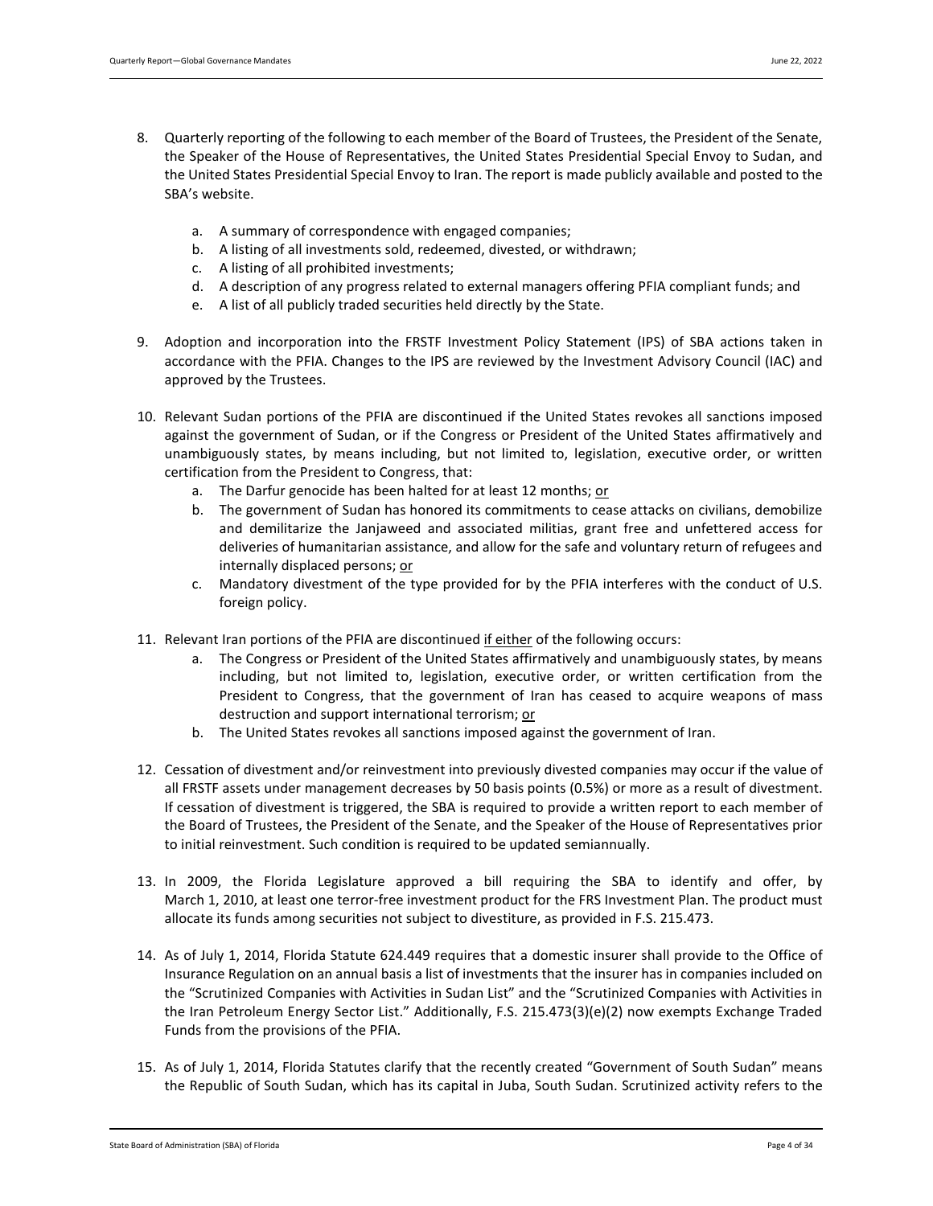- 8. Quarterly reporting of the following to each member of the Board of Trustees, the President of the Senate, the Speaker of the House of Representatives, the United States Presidential Special Envoy to Sudan, and the United States Presidential Special Envoy to Iran. The report is made publicly available and posted to the SBA's website.
	- a. A summary of correspondence with engaged companies;
	- b. A listing of all investments sold, redeemed, divested, or withdrawn;
	- c. A listing of all prohibited investments;
	- d. A description of any progress related to external managers offering PFIA compliant funds; and
	- e. A list of all publicly traded securities held directly by the State.
- 9. Adoption and incorporation into the FRSTF Investment Policy Statement (IPS) of SBA actions taken in accordance with the PFIA. Changes to the IPS are reviewed by the Investment Advisory Council (IAC) and approved by the Trustees.
- 10. Relevant Sudan portions of the PFIA are discontinued if the United States revokes all sanctions imposed against the government of Sudan, or if the Congress or President of the United States affirmatively and unambiguously states, by means including, but not limited to, legislation, executive order, or written certification from the President to Congress, that:
	- a. The Darfur genocide has been halted for at least 12 months; or
	- b. The government of Sudan has honored its commitments to cease attacks on civilians, demobilize and demilitarize the Janjaweed and associated militias, grant free and unfettered access for deliveries of humanitarian assistance, and allow for the safe and voluntary return of refugees and internally displaced persons; or
	- c. Mandatory divestment of the type provided for by the PFIA interferes with the conduct of U.S. foreign policy.
- 11. Relevant Iran portions of the PFIA are discontinued if either of the following occurs:
	- a. The Congress or President of the United States affirmatively and unambiguously states, by means including, but not limited to, legislation, executive order, or written certification from the President to Congress, that the government of Iran has ceased to acquire weapons of mass destruction and support international terrorism; or
	- b. The United States revokes all sanctions imposed against the government of Iran.
- 12. Cessation of divestment and/or reinvestment into previously divested companies may occur if the value of all FRSTF assets under management decreases by 50 basis points (0.5%) or more as a result of divestment. If cessation of divestment is triggered, the SBA is required to provide a written report to each member of the Board of Trustees, the President of the Senate, and the Speaker of the House of Representatives prior to initial reinvestment. Such condition is required to be updated semiannually.
- 13. In 2009, the Florida Legislature approved a bill requiring the SBA to identify and offer, by March 1, 2010, at least one terror-free investment product for the FRS Investment Plan. The product must allocate its funds among securities not subject to divestiture, as provided in F.S. 215.473.
- 14. As of July 1, 2014, Florida Statute 624.449 requires that a domestic insurer shall provide to the Office of Insurance Regulation on an annual basis a list of investments that the insurer has in companies included on the "Scrutinized Companies with Activities in Sudan List" and the "Scrutinized Companies with Activities in the Iran Petroleum Energy Sector List." Additionally, F.S. 215.473(3)(e)(2) now exempts Exchange Traded Funds from the provisions of the PFIA.
- 15. As of July 1, 2014, Florida Statutes clarify that the recently created "Government of South Sudan" means the Republic of South Sudan, which has its capital in Juba, South Sudan. Scrutinized activity refers to the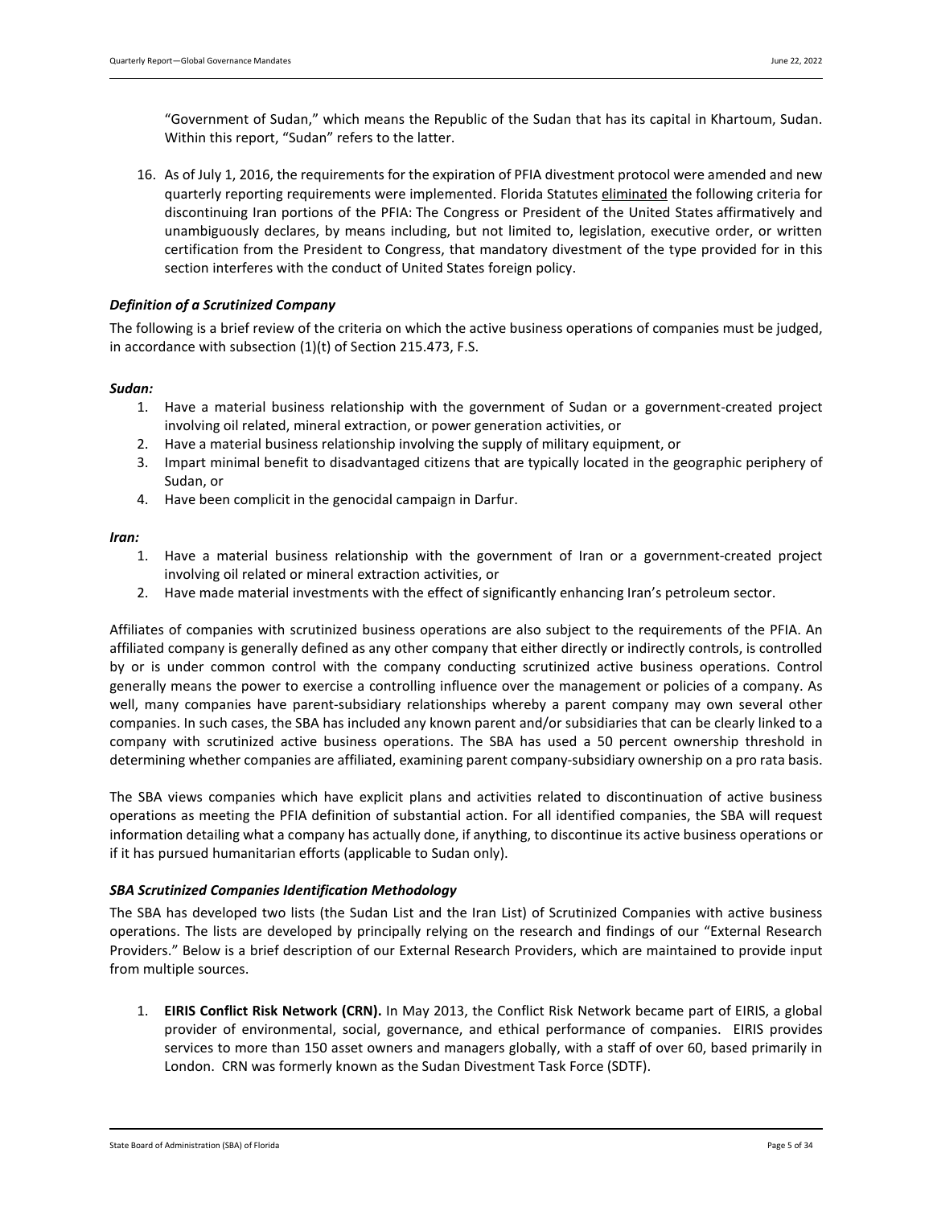"Government of Sudan," which means the Republic of the Sudan that has its capital in Khartoum, Sudan. Within this report, "Sudan" refers to the latter.

16. As of July 1, 2016, the requirements for the expiration of PFIA divestment protocol were amended and new quarterly reporting requirements were implemented. Florida Statutes eliminated the following criteria for discontinuing Iran portions of the PFIA: The Congress or President of the United States affirmatively and unambiguously declares, by means including, but not limited to, legislation, executive order, or written certification from the President to Congress, that mandatory divestment of the type provided for in this section interferes with the conduct of United States foreign policy.

### <span id="page-4-0"></span>*Definition of a Scrutinized Company*

The following is a brief review of the criteria on which the active business operations of companies must be judged, in accordance with subsection (1)(t) of Section 215.473, F.S.

### *Sudan:*

- 1. Have a material business relationship with the government of Sudan or a government-created project involving oil related, mineral extraction, or power generation activities, or
- 2. Have a material business relationship involving the supply of military equipment, or
- 3. Impart minimal benefit to disadvantaged citizens that are typically located in the geographic periphery of Sudan, or
- 4. Have been complicit in the genocidal campaign in Darfur.

### *Iran:*

- 1. Have a material business relationship with the government of Iran or a government-created project involving oil related or mineral extraction activities, or
- 2. Have made material investments with the effect of significantly enhancing Iran's petroleum sector.

Affiliates of companies with scrutinized business operations are also subject to the requirements of the PFIA. An affiliated company is generally defined as any other company that either directly or indirectly controls, is controlled by or is under common control with the company conducting scrutinized active business operations. Control generally means the power to exercise a controlling influence over the management or policies of a company. As well, many companies have parent-subsidiary relationships whereby a parent company may own several other companies. In such cases, the SBA has included any known parent and/or subsidiaries that can be clearly linked to a company with scrutinized active business operations. The SBA has used a 50 percent ownership threshold in determining whether companies are affiliated, examining parent company-subsidiary ownership on a pro rata basis.

The SBA views companies which have explicit plans and activities related to discontinuation of active business operations as meeting the PFIA definition of substantial action. For all identified companies, the SBA will request information detailing what a company has actually done, if anything, to discontinue its active business operations or if it has pursued humanitarian efforts (applicable to Sudan only).

### <span id="page-4-1"></span>*SBA Scrutinized Companies Identification Methodology*

The SBA has developed two lists (the Sudan List and the Iran List) of Scrutinized Companies with active business operations. The lists are developed by principally relying on the research and findings of our "External Research Providers." Below is a brief description of our External Research Providers, which are maintained to provide input from multiple sources.

1. **EIRIS Conflict Risk Network (CRN).** In May 2013, the Conflict Risk Network became part of EIRIS, a global provider of environmental, social, governance, and ethical performance of companies. EIRIS provides services to more than 150 asset owners and managers globally, with a staff of over 60, based primarily in London. CRN was formerly known as the Sudan Divestment Task Force (SDTF).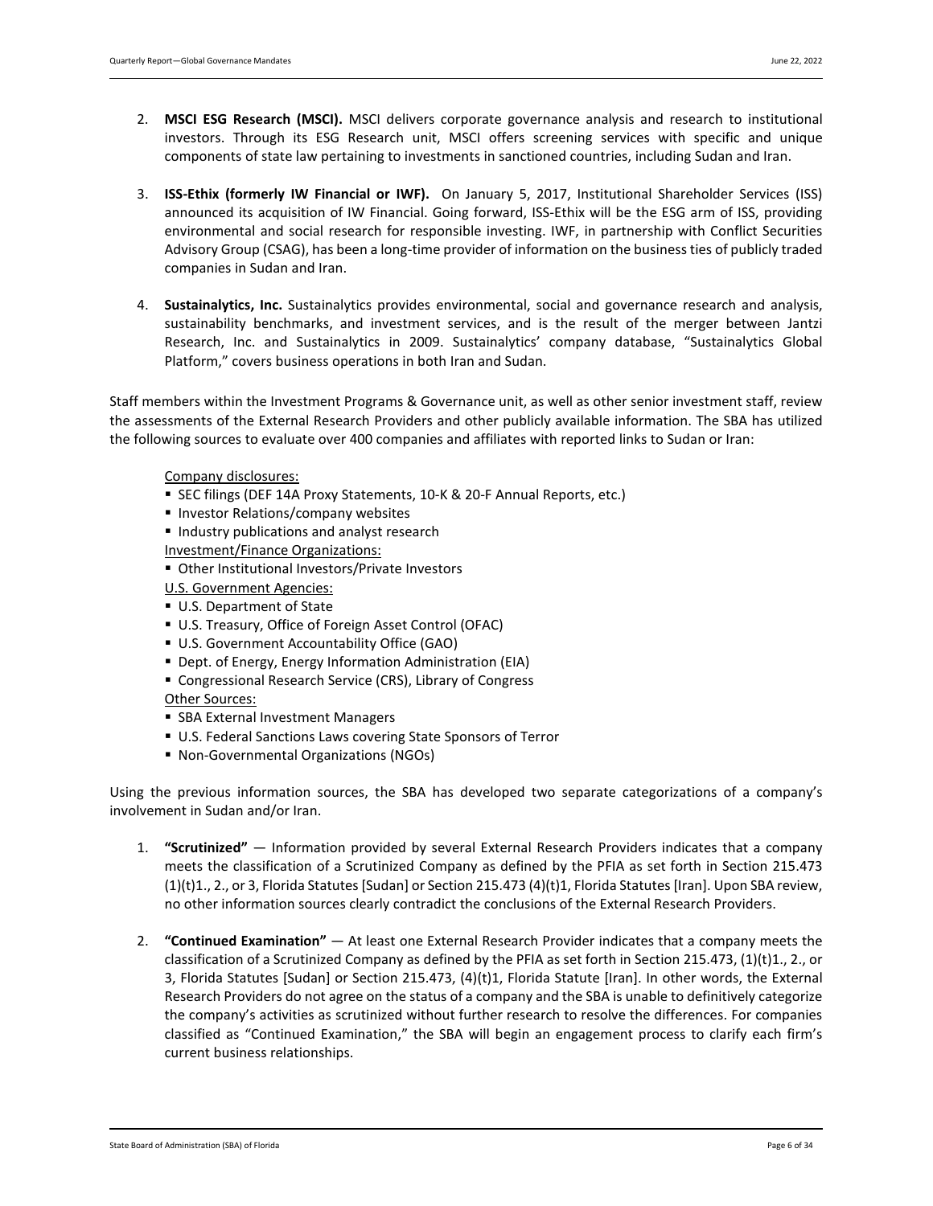- 2. **MSCI ESG Research (MSCI).** MSCI delivers corporate governance analysis and research to institutional investors. Through its ESG Research unit, MSCI offers screening services with specific and unique components of state law pertaining to investments in sanctioned countries, including Sudan and Iran.
- 3. **ISS-Ethix (formerly IW Financial or IWF).** On January 5, 2017, Institutional Shareholder Services (ISS) announced its acquisition of IW Financial. Going forward, ISS-Ethix will be the ESG arm of ISS, providing environmental and social research for responsible investing. IWF, in partnership with Conflict Securities Advisory Group (CSAG), has been a long-time provider of information on the business ties of publicly traded companies in Sudan and Iran.
- 4. **Sustainalytics, Inc.** Sustainalytics provides environmental, social and governance research and analysis, sustainability benchmarks, and investment services, and is the result of the merger between Jantzi Research, Inc. and Sustainalytics in 2009. Sustainalytics' company database, "Sustainalytics Global Platform," covers business operations in both Iran and Sudan.

Staff members within the Investment Programs & Governance unit, as well as other senior investment staff, review the assessments of the External Research Providers and other publicly available information. The SBA has utilized the following sources to evaluate over 400 companies and affiliates with reported links to Sudan or Iran:

### Company disclosures:

- SEC filings (DEF 14A Proxy Statements, 10-K & 20-F Annual Reports, etc.)
- **Investor Relations/company websites**
- **Industry publications and analyst research**
- Investment/Finance Organizations:
- Other Institutional Investors/Private Investors
- U.S. Government Agencies:
- U.S. Department of State
- U.S. Treasury, Office of Foreign Asset Control (OFAC)
- U.S. Government Accountability Office (GAO)
- Dept. of Energy, Energy Information Administration (EIA)
- Congressional Research Service (CRS), Library of Congress

### Other Sources:

- **SBA External Investment Managers**
- U.S. Federal Sanctions Laws covering State Sponsors of Terror
- Non-Governmental Organizations (NGOs)

Using the previous information sources, the SBA has developed two separate categorizations of a company's involvement in Sudan and/or Iran.

- 1. **"Scrutinized"**  Information provided by several External Research Providers indicates that a company meets the classification of a Scrutinized Company as defined by the PFIA as set forth in Section 215.473 (1)(t)1., 2., or 3, Florida Statutes [Sudan] or Section 215.473 (4)(t)1, Florida Statutes [Iran]. Upon SBA review, no other information sources clearly contradict the conclusions of the External Research Providers.
- 2. **"Continued Examination"**  At least one External Research Provider indicates that a company meets the classification of a Scrutinized Company as defined by the PFIA as set forth in Section 215.473, (1)(t)1., 2., or 3, Florida Statutes [Sudan] or Section 215.473, (4)(t)1, Florida Statute [Iran]. In other words, the External Research Providers do not agree on the status of a company and the SBA is unable to definitively categorize the company's activities as scrutinized without further research to resolve the differences. For companies classified as "Continued Examination," the SBA will begin an engagement process to clarify each firm's current business relationships.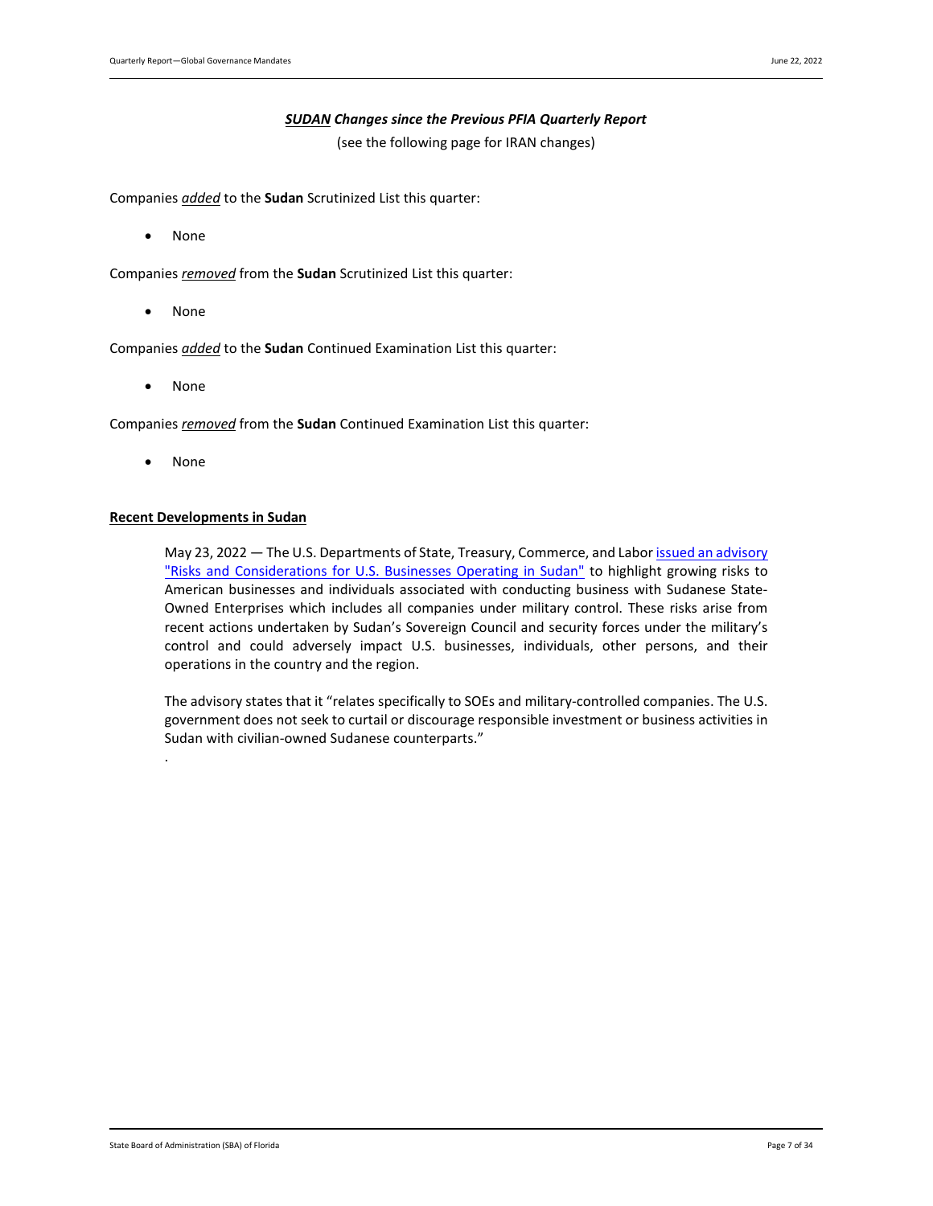### *SUDAN Changes since the Previous PFIA Quarterly Report*

(see the following page for IRAN changes)

<span id="page-6-0"></span>Companies *added* to the **Sudan** Scrutinized List this quarter:

• None

Companies *removed* from the **Sudan** Scrutinized List this quarter:

• None

Companies *added* to the **Sudan** Continued Examination List this quarter:

• None

Companies *removed* from the **Sudan** Continued Examination List this quarter:

• None

.

### **Recent Developments in Sudan**

May 23, 2022 - The U.S. Departments of State, Treasury, Commerce, and Labor issued an advisory ["Risks and Considerations for U.S. Businesses Operating in Sudan"](https://urldefense.com/v3/__https:/lnks.gd/l/eyJhbGciOiJIUzI1NiJ9.eyJidWxsZXRpbl9saW5rX2lkIjoxMDksInVyaSI6ImJwMjpjbGljayIsImJ1bGxldGluX2lkIjoiMjAyMjA1MjMuNTgzMzk3NDEiLCJ1cmwiOiJodHRwczovL3d3dy5zdGF0ZS5nb3Yvcmlza3MtYW5kLWNvbnNpZGVyYXRpb25zLWZvci11LXMtYnVzaW5lc3Nlcy1vcGVyYXRpbmctaW4tc3VkYW4vIn0.bIRAvJGhuld3TQEgArqd8-maAg6m_WP35mCC5sZpEEY/s/49969345/br/131774440799-l__;!!CqdutyHt!tau4qhpkc3jgtBGKGY42rcCYJijY5VVYePH8pOX7uVnCm1KfWeCyHX93uchy_OxsraonPT9Z0chX0G6_zxPd4tMb5xS4W2fVxCx0dT8mxQ$) to highlight growing risks to American businesses and individuals associated with conducting business with Sudanese State-Owned Enterprises which includes all companies under military control. These risks arise from recent actions undertaken by Sudan's Sovereign Council and security forces under the military's control and could adversely impact U.S. businesses, individuals, other persons, and their operations in the country and the region.

The advisory states that it "relates specifically to SOEs and military-controlled companies. The U.S. government does not seek to curtail or discourage responsible investment or business activities in Sudan with civilian-owned Sudanese counterparts."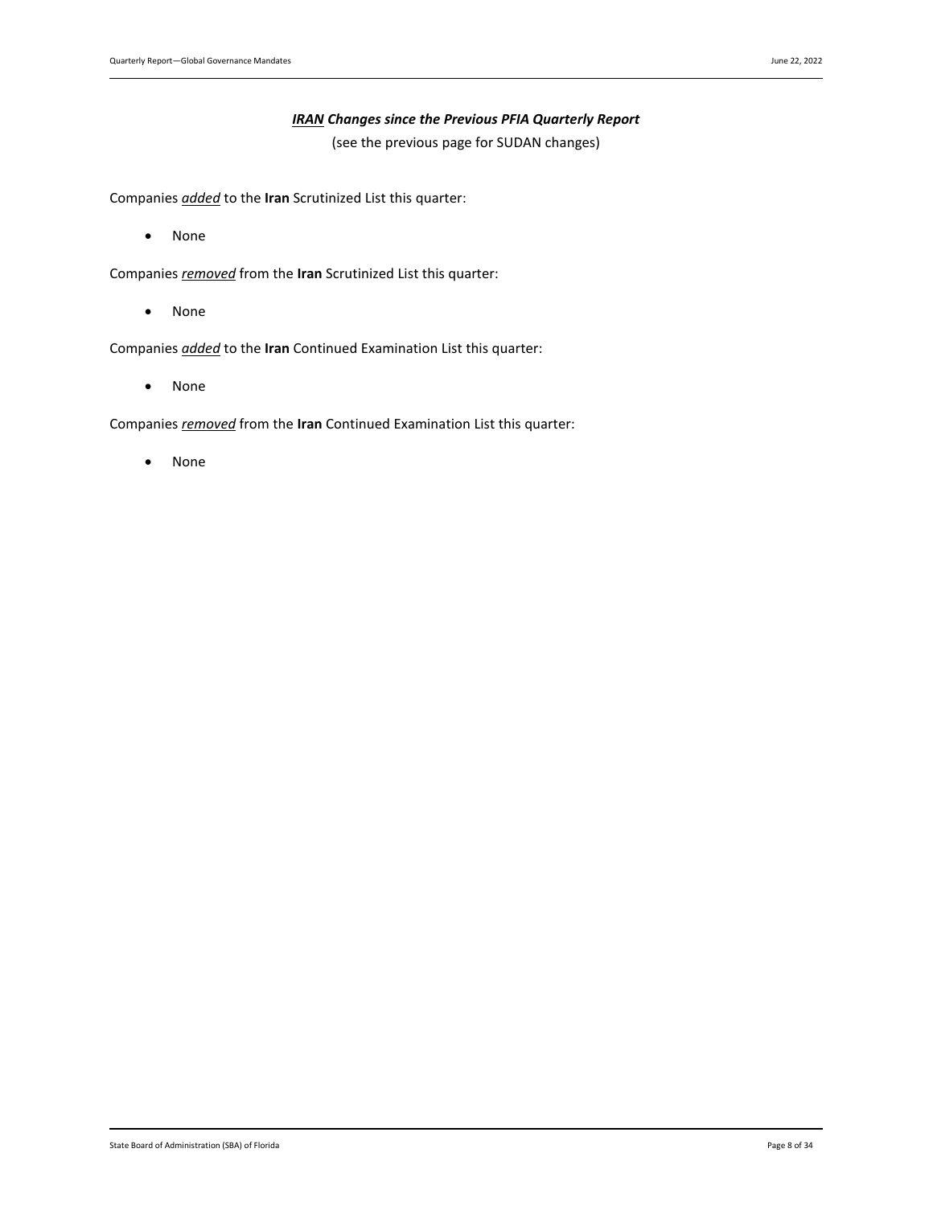### *IRAN Changes since the Previous PFIA Quarterly Report*

(see the previous page for SUDAN changes)

<span id="page-7-0"></span>Companies *added* to the **Iran** Scrutinized List this quarter:

• None

Companies *removed* from the **Iran** Scrutinized List this quarter:

• None

Companies *added* to the **Iran** Continued Examination List this quarter:

• None

Companies *removed* from the **Iran** Continued Examination List this quarter:

• None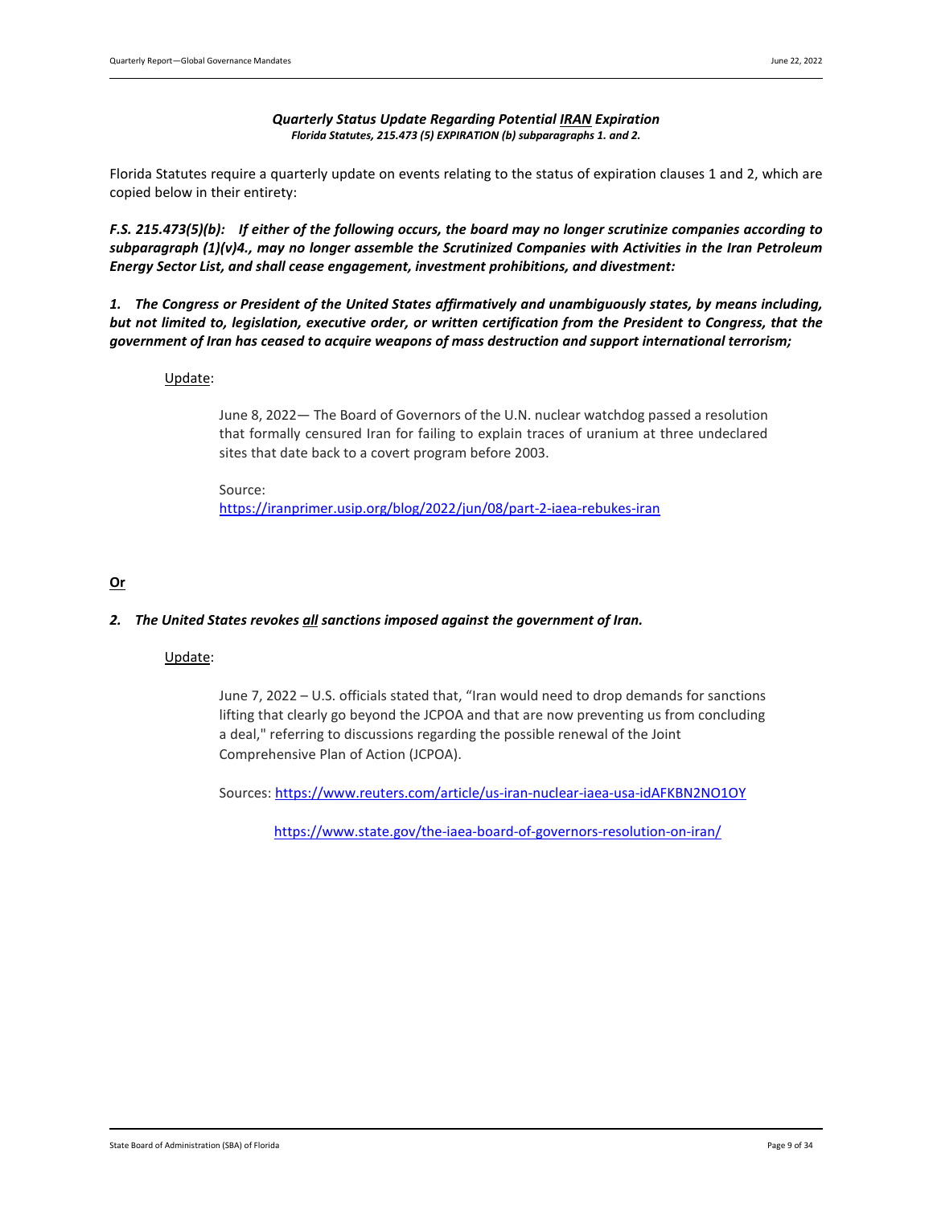### *Quarterly Status Update Regarding Potential IRAN Expiration Florida Statutes, 215.473 (5) EXPIRATION (b) subparagraphs 1. and 2.*

<span id="page-8-0"></span>Florida Statutes require a quarterly update on events relating to the status of expiration clauses 1 and 2, which are copied below in their entirety:

*F.S. 215.473(5)(b): If either of the following occurs, the board may no longer scrutinize companies according to subparagraph (1)(v)4., may no longer assemble the Scrutinized Companies with Activities in the Iran Petroleum Energy Sector List, and shall cease engagement, investment prohibitions, and divestment:*

*1. The Congress or President of the United States affirmatively and unambiguously states, by means including, but not limited to, legislation, executive order, or written certification from the President to Congress, that the government of Iran has ceased to acquire weapons of mass destruction and support international terrorism;* 

### Update:

June 8, 2022— The Board of Governors of the U.N. nuclear watchdog passed a resolution that formally censured Iran for failing to explain traces of uranium at three undeclared sites that date back to a covert program before 2003.

Source: <https://iranprimer.usip.org/blog/2022/jun/08/part-2-iaea-rebukes-iran>

### **Or**

### *2. The United States revokes all sanctions imposed against the government of Iran.*

### Update:

June 7, 2022 – U.S. officials stated that, "Iran would need to drop demands for sanctions lifting that clearly go beyond the JCPOA and that are now preventing us from concluding a deal," referring to discussions regarding the possible renewal of the Joint Comprehensive Plan of Action (JCPOA).

Sources[: https://www.reuters.com/article/us-iran-nuclear-iaea-usa-idAFKBN2NO1OY](https://www.reuters.com/article/us-iran-nuclear-iaea-usa-idAFKBN2NO1OY)

<https://www.state.gov/the-iaea-board-of-governors-resolution-on-iran/>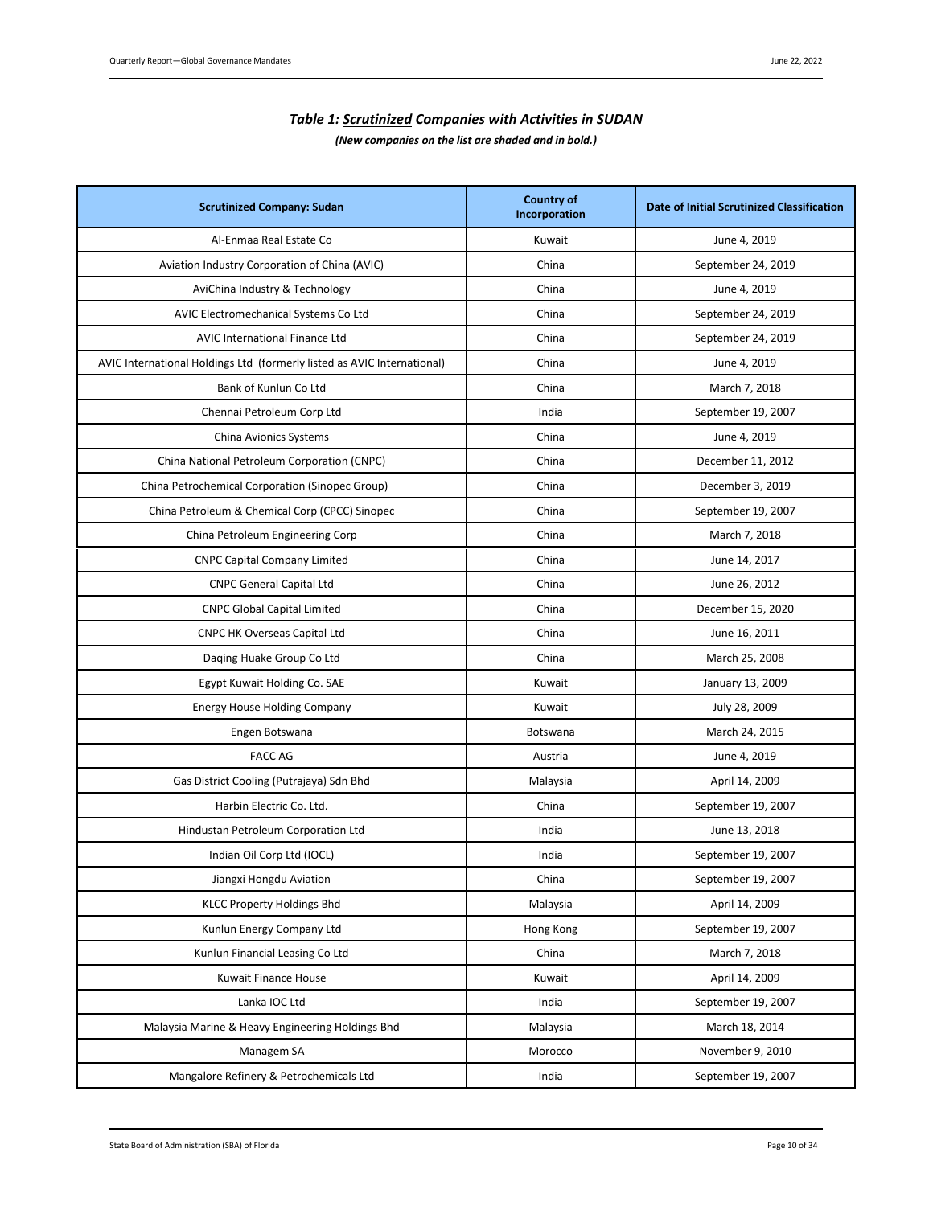| <b>Table 1: Scrutinized Companies with Activities in SUDAN</b> |  |
|----------------------------------------------------------------|--|
| (New companies on the list are shaded and in bold.)            |  |

<span id="page-9-0"></span>

| <b>Scrutinized Company: Sudan</b>                                       | <b>Country of</b><br>Incorporation | Date of Initial Scrutinized Classification |
|-------------------------------------------------------------------------|------------------------------------|--------------------------------------------|
| Al-Enmaa Real Estate Co                                                 | Kuwait                             | June 4, 2019                               |
| Aviation Industry Corporation of China (AVIC)                           | China                              | September 24, 2019                         |
| AviChina Industry & Technology                                          | China                              | June 4, 2019                               |
| AVIC Electromechanical Systems Co Ltd                                   | China                              | September 24, 2019                         |
| AVIC International Finance Ltd                                          | China                              | September 24, 2019                         |
| AVIC International Holdings Ltd (formerly listed as AVIC International) | China                              | June 4, 2019                               |
| Bank of Kunlun Co Ltd                                                   | China                              | March 7, 2018                              |
| Chennai Petroleum Corp Ltd                                              | India                              | September 19, 2007                         |
| China Avionics Systems                                                  | China                              | June 4, 2019                               |
| China National Petroleum Corporation (CNPC)                             | China                              | December 11, 2012                          |
| China Petrochemical Corporation (Sinopec Group)                         | China                              | December 3, 2019                           |
| China Petroleum & Chemical Corp (CPCC) Sinopec                          | China                              | September 19, 2007                         |
| China Petroleum Engineering Corp                                        | China                              | March 7, 2018                              |
| <b>CNPC Capital Company Limited</b>                                     | China                              | June 14, 2017                              |
| <b>CNPC General Capital Ltd</b>                                         | China                              | June 26, 2012                              |
| <b>CNPC Global Capital Limited</b>                                      | China                              | December 15, 2020                          |
| <b>CNPC HK Overseas Capital Ltd</b>                                     | China                              | June 16, 2011                              |
| Daqing Huake Group Co Ltd                                               | China                              | March 25, 2008                             |
| Egypt Kuwait Holding Co. SAE                                            | Kuwait                             | January 13, 2009                           |
| <b>Energy House Holding Company</b>                                     | Kuwait                             | July 28, 2009                              |
| Engen Botswana                                                          | Botswana                           | March 24, 2015                             |
| <b>FACC AG</b>                                                          | Austria                            | June 4, 2019                               |
| Gas District Cooling (Putrajaya) Sdn Bhd                                | Malaysia                           | April 14, 2009                             |
| Harbin Electric Co. Ltd.                                                | China                              | September 19, 2007                         |
| Hindustan Petroleum Corporation Ltd                                     | India                              | June 13, 2018                              |
| Indian Oil Corp Ltd (IOCL)                                              | India                              | September 19, 2007                         |
| Jiangxi Hongdu Aviation                                                 | China                              | September 19, 2007                         |
| <b>KLCC Property Holdings Bhd</b>                                       | Malaysia                           | April 14, 2009                             |
| Kunlun Energy Company Ltd                                               | Hong Kong                          | September 19, 2007                         |
| Kunlun Financial Leasing Co Ltd                                         | China                              | March 7, 2018                              |
| Kuwait Finance House                                                    | Kuwait                             | April 14, 2009                             |
| Lanka IOC Ltd                                                           | India                              | September 19, 2007                         |
| Malaysia Marine & Heavy Engineering Holdings Bhd                        | Malaysia                           | March 18, 2014                             |
| Managem SA                                                              | Morocco                            | November 9, 2010                           |
| Mangalore Refinery & Petrochemicals Ltd                                 | India                              | September 19, 2007                         |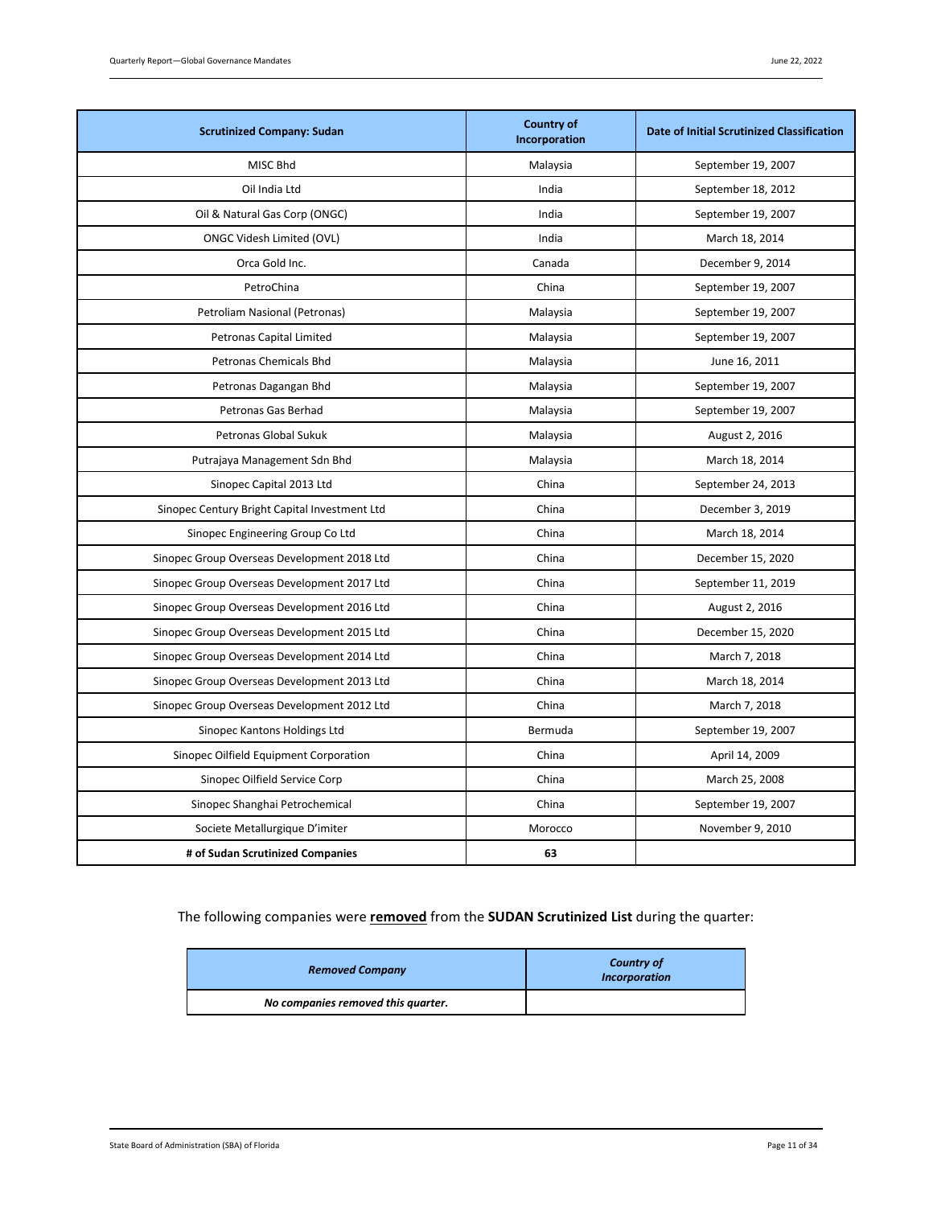| <b>Scrutinized Company: Sudan</b>             | <b>Country of</b><br>Incorporation | <b>Date of Initial Scrutinized Classification</b> |
|-----------------------------------------------|------------------------------------|---------------------------------------------------|
| MISC Bhd                                      | Malaysia                           | September 19, 2007                                |
| Oil India Ltd                                 | India                              | September 18, 2012                                |
| Oil & Natural Gas Corp (ONGC)                 | India                              | September 19, 2007                                |
| ONGC Videsh Limited (OVL)                     | India                              | March 18, 2014                                    |
| Orca Gold Inc.                                | Canada                             | December 9, 2014                                  |
| PetroChina                                    | China                              | September 19, 2007                                |
| Petroliam Nasional (Petronas)                 | Malaysia                           | September 19, 2007                                |
| Petronas Capital Limited                      | Malaysia                           | September 19, 2007                                |
| Petronas Chemicals Bhd                        | Malaysia                           | June 16, 2011                                     |
| Petronas Dagangan Bhd                         | Malaysia                           | September 19, 2007                                |
| Petronas Gas Berhad                           | Malaysia                           | September 19, 2007                                |
| Petronas Global Sukuk                         | Malaysia                           | August 2, 2016                                    |
| Putrajaya Management Sdn Bhd                  | Malaysia                           | March 18, 2014                                    |
| Sinopec Capital 2013 Ltd                      | China                              | September 24, 2013                                |
| Sinopec Century Bright Capital Investment Ltd | China                              | December 3, 2019                                  |
| Sinopec Engineering Group Co Ltd              | China                              | March 18, 2014                                    |
| Sinopec Group Overseas Development 2018 Ltd   | China                              | December 15, 2020                                 |
| Sinopec Group Overseas Development 2017 Ltd   | China                              | September 11, 2019                                |
| Sinopec Group Overseas Development 2016 Ltd   | China                              | August 2, 2016                                    |
| Sinopec Group Overseas Development 2015 Ltd   | China                              | December 15, 2020                                 |
| Sinopec Group Overseas Development 2014 Ltd   | China                              | March 7, 2018                                     |
| Sinopec Group Overseas Development 2013 Ltd   | China                              | March 18, 2014                                    |
| Sinopec Group Overseas Development 2012 Ltd   | China                              | March 7, 2018                                     |
| Sinopec Kantons Holdings Ltd                  | Bermuda                            | September 19, 2007                                |
| Sinopec Oilfield Equipment Corporation        | China                              | April 14, 2009                                    |
| Sinopec Oilfield Service Corp                 | China                              | March 25, 2008                                    |
| Sinopec Shanghai Petrochemical                | China                              | September 19, 2007                                |
| Societe Metallurgique D'imiter                | Morocco                            | November 9, 2010                                  |
| # of Sudan Scrutinized Companies              | 63                                 |                                                   |

# The following companies were **removed** from the **SUDAN Scrutinized List** during the quarter:

| <b>Removed Company</b>             | <b>Country of</b><br><b>Incorporation</b> |
|------------------------------------|-------------------------------------------|
| No companies removed this quarter. |                                           |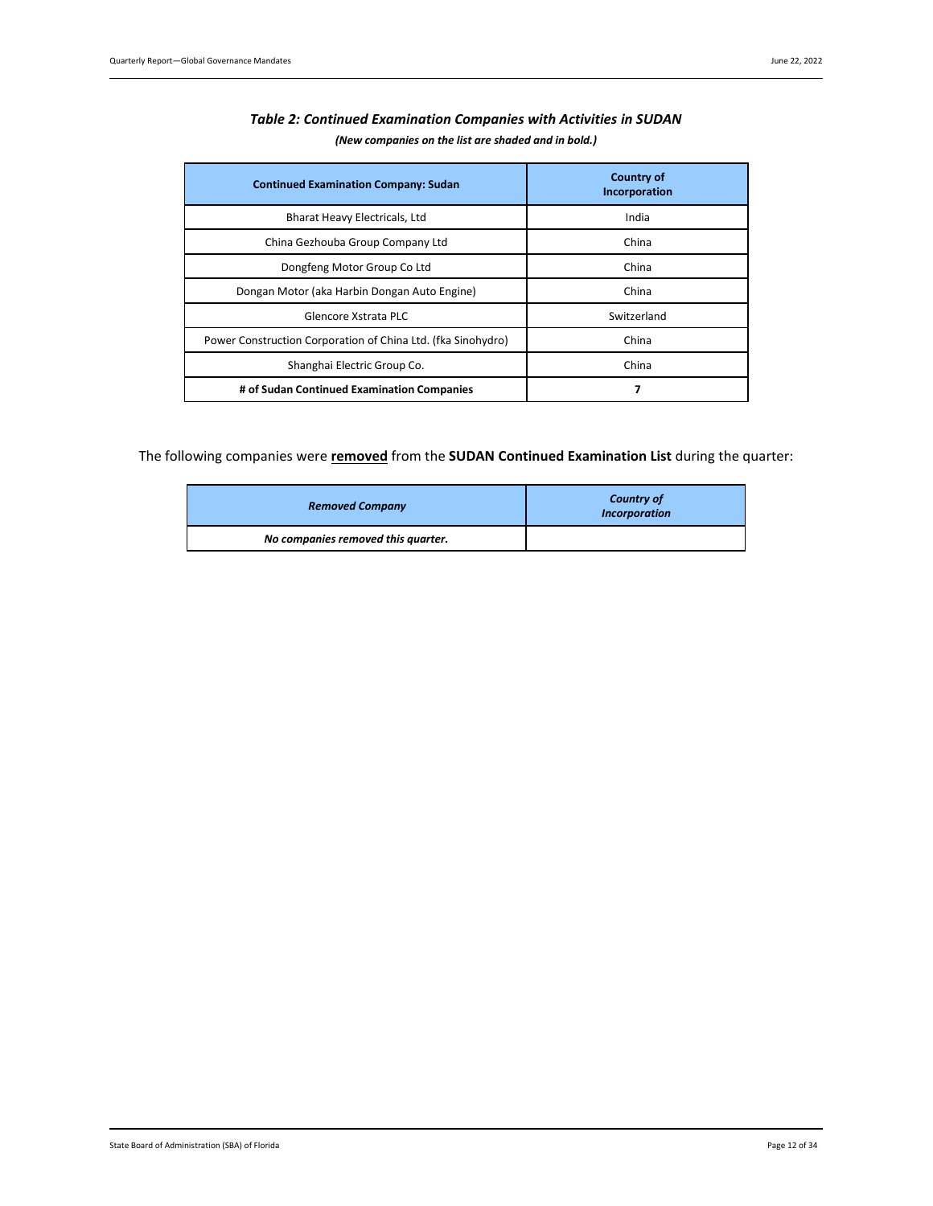<span id="page-11-0"></span>

| <b>Continued Examination Company: Sudan</b>                  | <b>Country of</b><br>Incorporation |
|--------------------------------------------------------------|------------------------------------|
| Bharat Heavy Electricals, Ltd                                | India                              |
| China Gezhouba Group Company Ltd                             | China                              |
| Dongfeng Motor Group Co Ltd                                  | China                              |
| Dongan Motor (aka Harbin Dongan Auto Engine)                 | China                              |
| Glencore Xstrata PLC                                         | Switzerland                        |
| Power Construction Corporation of China Ltd. (fka Sinohydro) | China                              |
| Shanghai Electric Group Co.                                  | China                              |
| # of Sudan Continued Examination Companies                   | 7                                  |

# *Table 2: Continued Examination Companies with Activities in SUDAN (New companies on the list are shaded and in bold.)*

The following companies were **removed** from the **SUDAN Continued Examination List** during the quarter:

| <b>Removed Company</b>             | <b>Country of</b><br><b>Incorporation</b> |
|------------------------------------|-------------------------------------------|
| No companies removed this quarter. |                                           |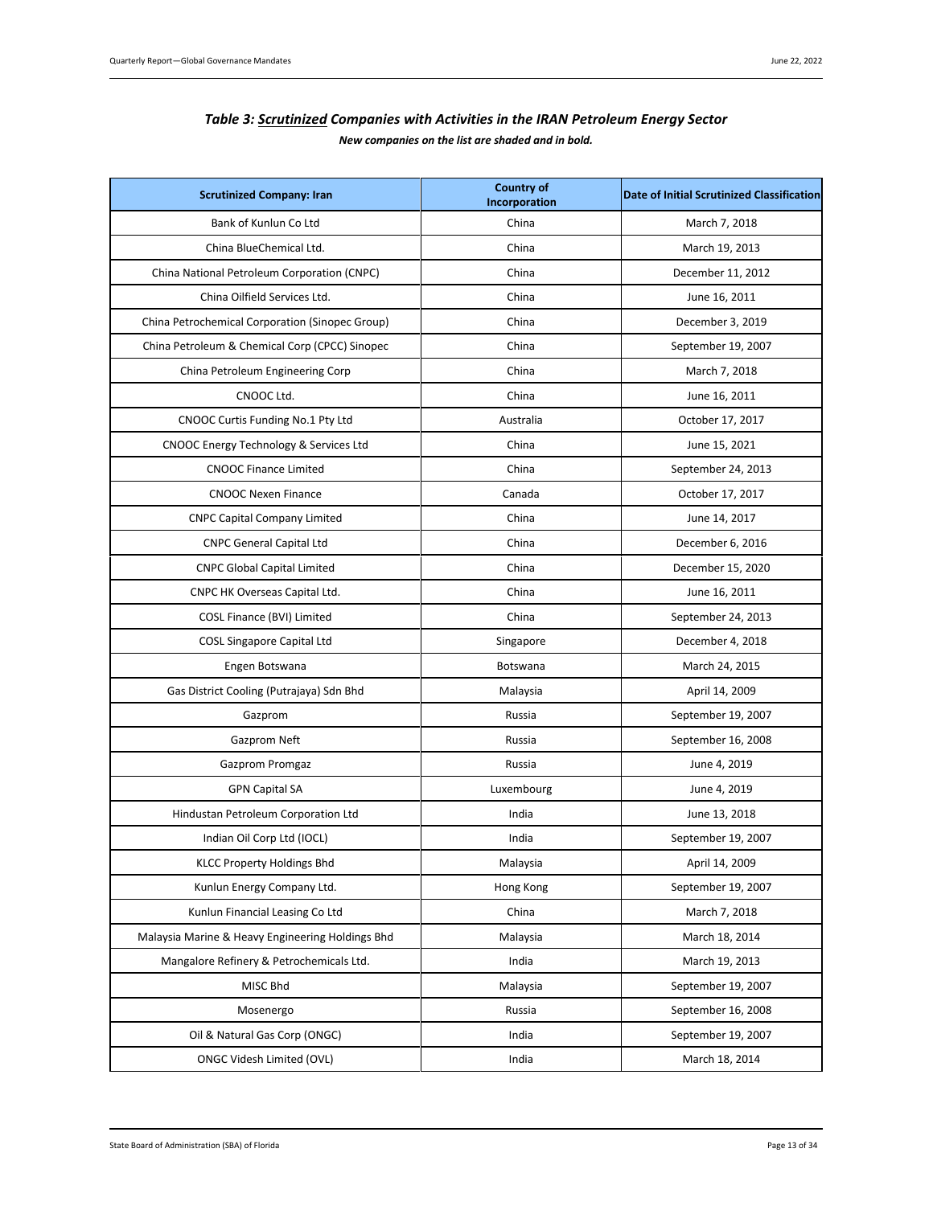| Table 3: Scrutinized Companies with Activities in the IRAN Petroleum Energy Sector |
|------------------------------------------------------------------------------------|
| New companies on the list are shaded and in bold.                                  |

<span id="page-12-0"></span>

| <b>Scrutinized Company: Iran</b>                 | <b>Country of</b><br>Incorporation | <b>Date of Initial Scrutinized Classification</b> |
|--------------------------------------------------|------------------------------------|---------------------------------------------------|
| Bank of Kunlun Co Ltd                            | China                              | March 7, 2018                                     |
| China BlueChemical Ltd.                          | China                              | March 19, 2013                                    |
| China National Petroleum Corporation (CNPC)      | China                              | December 11, 2012                                 |
| China Oilfield Services Ltd.                     | China                              | June 16, 2011                                     |
| China Petrochemical Corporation (Sinopec Group)  | China                              | December 3, 2019                                  |
| China Petroleum & Chemical Corp (CPCC) Sinopec   | China                              | September 19, 2007                                |
| China Petroleum Engineering Corp                 | China                              | March 7, 2018                                     |
| CNOOC Ltd.                                       | China                              | June 16, 2011                                     |
| CNOOC Curtis Funding No.1 Pty Ltd                | Australia                          | October 17, 2017                                  |
| CNOOC Energy Technology & Services Ltd           | China                              | June 15, 2021                                     |
| <b>CNOOC Finance Limited</b>                     | China                              | September 24, 2013                                |
| <b>CNOOC Nexen Finance</b>                       | Canada                             | October 17, 2017                                  |
| <b>CNPC Capital Company Limited</b>              | China                              | June 14, 2017                                     |
| <b>CNPC General Capital Ltd</b>                  | China                              | December 6, 2016                                  |
| <b>CNPC Global Capital Limited</b>               | China                              | December 15, 2020                                 |
| CNPC HK Overseas Capital Ltd.                    | China                              | June 16, 2011                                     |
| COSL Finance (BVI) Limited                       | China                              | September 24, 2013                                |
| <b>COSL Singapore Capital Ltd</b>                | Singapore                          | December 4, 2018                                  |
| Engen Botswana                                   | Botswana                           | March 24, 2015                                    |
| Gas District Cooling (Putrajaya) Sdn Bhd         | Malaysia                           | April 14, 2009                                    |
| Gazprom                                          | Russia                             | September 19, 2007                                |
| Gazprom Neft                                     | Russia                             | September 16, 2008                                |
| Gazprom Promgaz                                  | Russia                             | June 4, 2019                                      |
| <b>GPN Capital SA</b>                            | Luxembourg                         | June 4, 2019                                      |
| Hindustan Petroleum Corporation Ltd              | India                              | June 13, 2018                                     |
| Indian Oil Corp Ltd (IOCL)                       | India                              | September 19, 2007                                |
| KLCC Property Holdings Bhd                       | Malaysia                           | April 14, 2009                                    |
| Kunlun Energy Company Ltd.                       | Hong Kong                          | September 19, 2007                                |
| Kunlun Financial Leasing Co Ltd                  | China                              | March 7, 2018                                     |
| Malaysia Marine & Heavy Engineering Holdings Bhd | Malaysia                           | March 18, 2014                                    |
| Mangalore Refinery & Petrochemicals Ltd.         | India                              | March 19, 2013                                    |
| MISC Bhd                                         | Malaysia                           | September 19, 2007                                |
| Mosenergo                                        | Russia                             | September 16, 2008                                |
| Oil & Natural Gas Corp (ONGC)                    | India                              | September 19, 2007                                |
| <b>ONGC Videsh Limited (OVL)</b>                 | India                              | March 18, 2014                                    |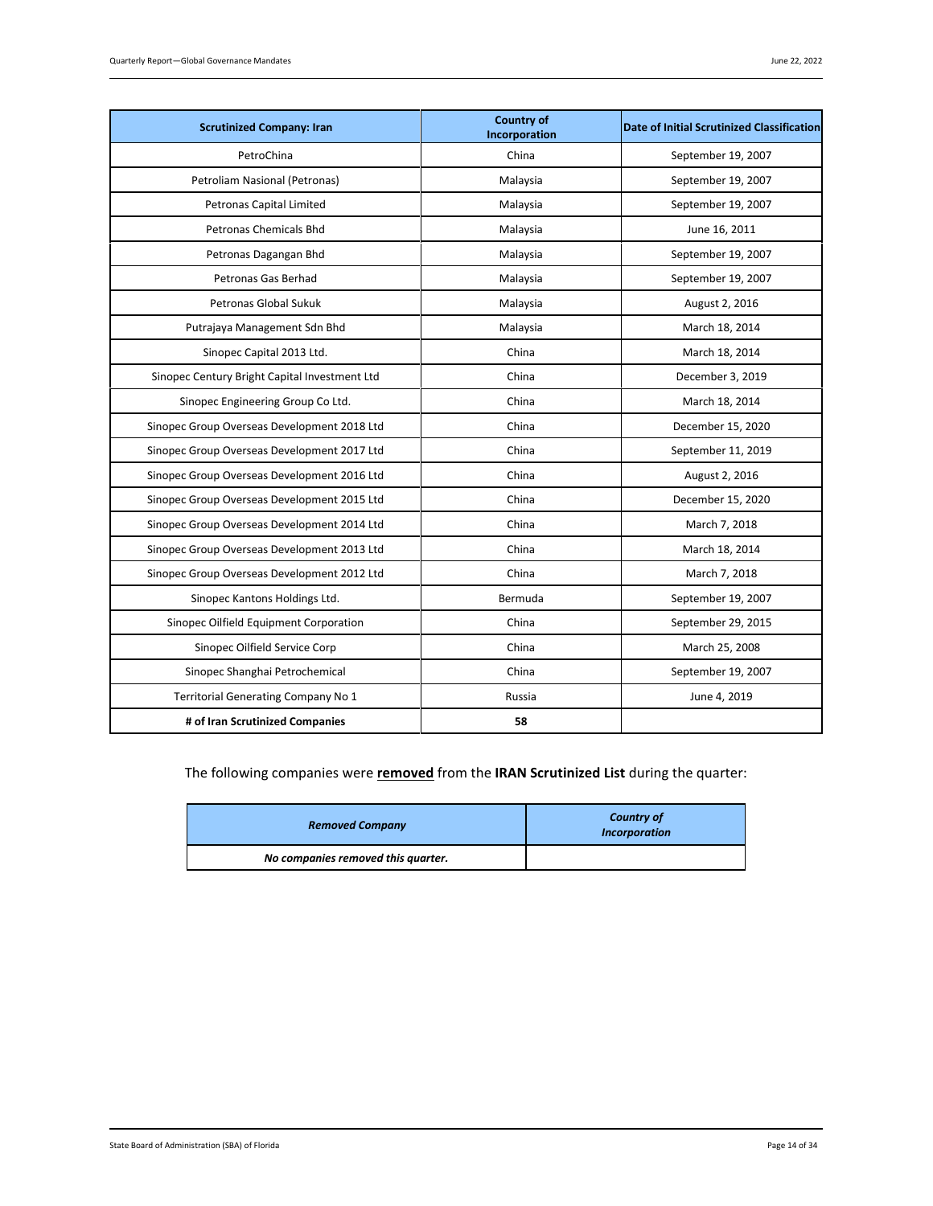| <b>Scrutinized Company: Iran</b>              | <b>Country of</b><br>Incorporation | <b>Date of Initial Scrutinized Classification</b> |
|-----------------------------------------------|------------------------------------|---------------------------------------------------|
| PetroChina                                    | China                              | September 19, 2007                                |
| Petroliam Nasional (Petronas)                 | Malaysia                           | September 19, 2007                                |
| <b>Petronas Capital Limited</b>               | Malaysia                           | September 19, 2007                                |
| Petronas Chemicals Bhd                        | Malaysia                           | June 16, 2011                                     |
| Petronas Dagangan Bhd                         | Malaysia                           | September 19, 2007                                |
| Petronas Gas Berhad                           | Malaysia                           | September 19, 2007                                |
| Petronas Global Sukuk                         | Malaysia                           | August 2, 2016                                    |
| Putrajaya Management Sdn Bhd                  | Malaysia                           | March 18, 2014                                    |
| Sinopec Capital 2013 Ltd.                     | China                              | March 18, 2014                                    |
| Sinopec Century Bright Capital Investment Ltd | China                              | December 3, 2019                                  |
| Sinopec Engineering Group Co Ltd.             | China                              | March 18, 2014                                    |
| Sinopec Group Overseas Development 2018 Ltd   | China                              | December 15, 2020                                 |
| Sinopec Group Overseas Development 2017 Ltd   | China                              | September 11, 2019                                |
| Sinopec Group Overseas Development 2016 Ltd   | China                              | August 2, 2016                                    |
| Sinopec Group Overseas Development 2015 Ltd   | China                              | December 15, 2020                                 |
| Sinopec Group Overseas Development 2014 Ltd   | China                              | March 7, 2018                                     |
| Sinopec Group Overseas Development 2013 Ltd   | China                              | March 18, 2014                                    |
| Sinopec Group Overseas Development 2012 Ltd   | China                              | March 7, 2018                                     |
| Sinopec Kantons Holdings Ltd.                 | Bermuda                            | September 19, 2007                                |
| Sinopec Oilfield Equipment Corporation        | China                              | September 29, 2015                                |
| Sinopec Oilfield Service Corp                 | China                              | March 25, 2008                                    |
| Sinopec Shanghai Petrochemical                | China                              | September 19, 2007                                |
| Territorial Generating Company No 1           | Russia                             | June 4, 2019                                      |
| # of Iran Scrutinized Companies               | 58                                 |                                                   |

# The following companies were **removed** from the **IRAN Scrutinized List** during the quarter:

| <b>Removed Company</b>             | <b>Country of</b><br><b>Incorporation</b> |
|------------------------------------|-------------------------------------------|
| No companies removed this quarter. |                                           |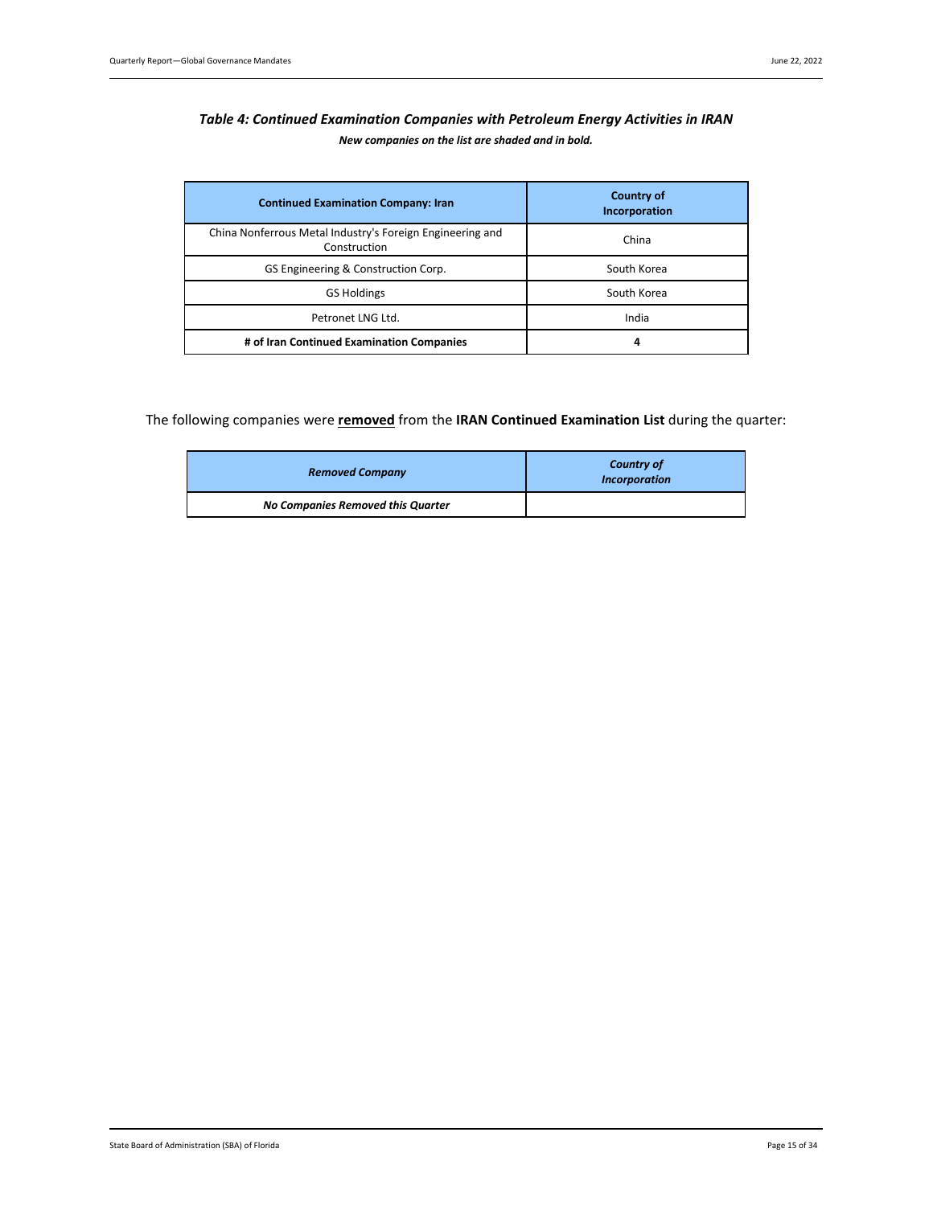# <span id="page-14-0"></span>*Table 4: Continued Examination Companies with Petroleum Energy Activities in IRAN New companies on the list are shaded and in bold.*

| <b>Continued Examination Company: Iran</b>                                | <b>Country of</b><br>Incorporation |
|---------------------------------------------------------------------------|------------------------------------|
| China Nonferrous Metal Industry's Foreign Engineering and<br>Construction | China                              |
| GS Engineering & Construction Corp.                                       | South Korea                        |
| <b>GS Holdings</b>                                                        | South Korea                        |
| Petronet LNG Ltd.                                                         | India                              |
| # of Iran Continued Examination Companies                                 | 4                                  |

# The following companies were **removed** from the **IRAN Continued Examination List** during the quarter:

| <b>Removed Company</b>            | <b>Country of</b><br><b>Incorporation</b> |  |
|-----------------------------------|-------------------------------------------|--|
| No Companies Removed this Quarter |                                           |  |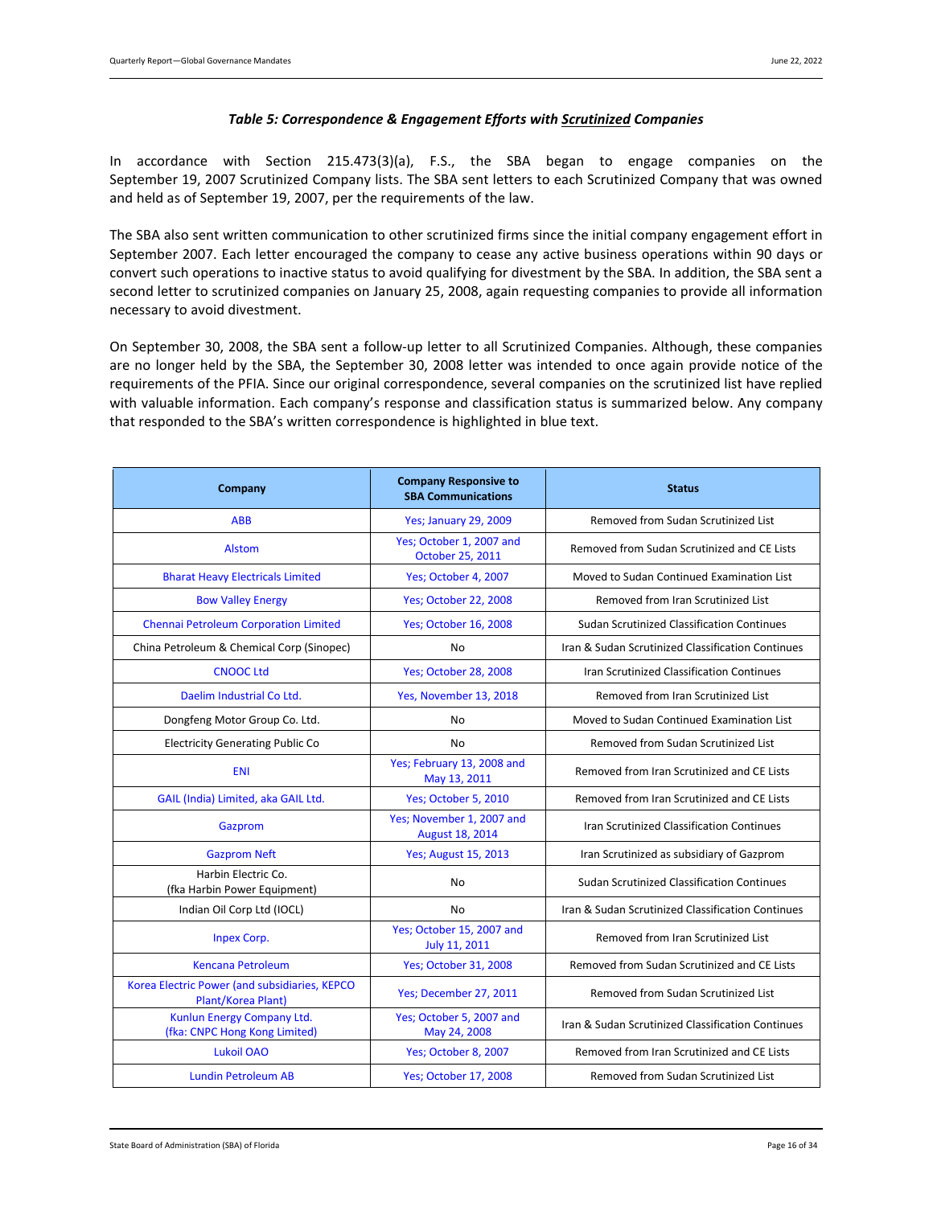### *Table 5: Correspondence & Engagement Efforts with Scrutinized Companies*

<span id="page-15-0"></span>In accordance with Section 215.473(3)(a), F.S., the SBA began to engage companies on the September 19, 2007 Scrutinized Company lists. The SBA sent letters to each Scrutinized Company that was owned and held as of September 19, 2007, per the requirements of the law.

The SBA also sent written communication to other scrutinized firms since the initial company engagement effort in September 2007. Each letter encouraged the company to cease any active business operations within 90 days or convert such operations to inactive status to avoid qualifying for divestment by the SBA. In addition, the SBA sent a second letter to scrutinized companies on January 25, 2008, again requesting companies to provide all information necessary to avoid divestment.

On September 30, 2008, the SBA sent a follow-up letter to all Scrutinized Companies. Although, these companies are no longer held by the SBA, the September 30, 2008 letter was intended to once again provide notice of the requirements of the PFIA. Since our original correspondence, several companies on the scrutinized list have replied with valuable information. Each company's response and classification status is summarized below. Any company that responded to the SBA's written correspondence is highlighted in blue text.

| Company                                                             | <b>Company Responsive to</b><br><b>SBA Communications</b> | <b>Status</b>                                     |
|---------------------------------------------------------------------|-----------------------------------------------------------|---------------------------------------------------|
| <b>ABB</b>                                                          | <b>Yes; January 29, 2009</b>                              | Removed from Sudan Scrutinized List               |
| <b>Alstom</b>                                                       | Yes; October 1, 2007 and<br>October 25, 2011              | Removed from Sudan Scrutinized and CE Lists       |
| <b>Bharat Heavy Electricals Limited</b>                             | Yes; October 4, 2007                                      | Moved to Sudan Continued Examination List         |
| <b>Bow Valley Energy</b>                                            | <b>Yes; October 22, 2008</b>                              | Removed from Iran Scrutinized List                |
| Chennai Petroleum Corporation Limited                               | Yes; October 16, 2008                                     | <b>Sudan Scrutinized Classification Continues</b> |
| China Petroleum & Chemical Corp (Sinopec)                           | No                                                        | Iran & Sudan Scrutinized Classification Continues |
| <b>CNOOC Ltd</b>                                                    | Yes; October 28, 2008                                     | <b>Iran Scrutinized Classification Continues</b>  |
| Daelim Industrial Co Ltd.                                           | Yes, November 13, 2018                                    | Removed from Iran Scrutinized List                |
| Dongfeng Motor Group Co. Ltd.                                       | <b>No</b>                                                 | Moved to Sudan Continued Examination List         |
| <b>Electricity Generating Public Co</b>                             | No                                                        | Removed from Sudan Scrutinized List               |
| <b>ENI</b>                                                          | Yes; February 13, 2008 and<br>May 13, 2011                | Removed from Iran Scrutinized and CE Lists        |
| GAIL (India) Limited, aka GAIL Ltd.                                 | Yes; October 5, 2010                                      | Removed from Iran Scrutinized and CE Lists        |
| Gazprom                                                             | Yes; November 1, 2007 and<br>August 18, 2014              | Iran Scrutinized Classification Continues         |
| <b>Gazprom Neft</b>                                                 | <b>Yes; August 15, 2013</b>                               | Iran Scrutinized as subsidiary of Gazprom         |
| Harbin Electric Co.<br>(fka Harbin Power Equipment)                 | No                                                        | <b>Sudan Scrutinized Classification Continues</b> |
| Indian Oil Corp Ltd (IOCL)                                          | No                                                        | Iran & Sudan Scrutinized Classification Continues |
| <b>Inpex Corp.</b>                                                  | Yes; October 15, 2007 and<br>July 11, 2011                | Removed from Iran Scrutinized List                |
| <b>Kencana Petroleum</b>                                            | <b>Yes; October 31, 2008</b>                              | Removed from Sudan Scrutinized and CE Lists       |
| Korea Electric Power (and subsidiaries, KEPCO<br>Plant/Korea Plant) | Yes; December 27, 2011                                    | Removed from Sudan Scrutinized List               |
| Kunlun Energy Company Ltd.<br>(fka: CNPC Hong Kong Limited)         | Yes; October 5, 2007 and<br>May 24, 2008                  | Iran & Sudan Scrutinized Classification Continues |
| Lukoil OAO                                                          | Yes; October 8, 2007                                      | Removed from Iran Scrutinized and CE Lists        |
| <b>Lundin Petroleum AB</b>                                          | <b>Yes; October 17, 2008</b>                              | Removed from Sudan Scrutinized List               |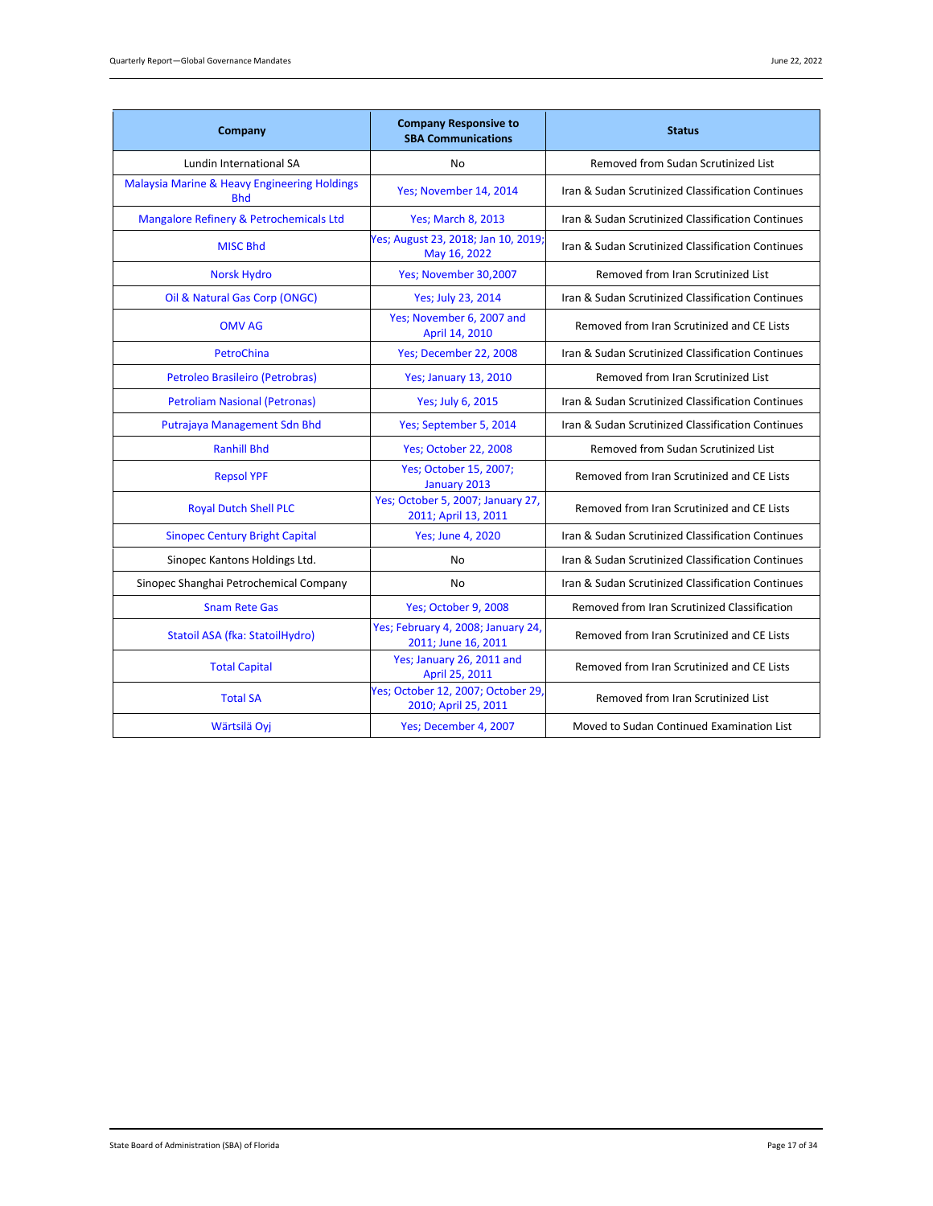| Company                                                    | <b>Company Responsive to</b><br><b>SBA Communications</b> | <b>Status</b>                                     |
|------------------------------------------------------------|-----------------------------------------------------------|---------------------------------------------------|
| Lundin International SA                                    | No                                                        | Removed from Sudan Scrutinized List               |
| Malaysia Marine & Heavy Engineering Holdings<br><b>Bhd</b> | Yes; November 14, 2014                                    | Iran & Sudan Scrutinized Classification Continues |
| Mangalore Refinery & Petrochemicals Ltd                    | <b>Yes</b> ; March 8, 2013                                | Iran & Sudan Scrutinized Classification Continues |
| <b>MISC Bhd</b>                                            | Yes; August 23, 2018; Jan 10, 2019;<br>May 16, 2022       | Iran & Sudan Scrutinized Classification Continues |
| <b>Norsk Hydro</b>                                         | Yes; November 30,2007                                     | Removed from Iran Scrutinized List                |
| Oil & Natural Gas Corp (ONGC)                              | Yes; July 23, 2014                                        | Iran & Sudan Scrutinized Classification Continues |
| <b>OMV AG</b>                                              | Yes; November 6, 2007 and<br>April 14, 2010               | Removed from Iran Scrutinized and CE Lists        |
| PetroChina                                                 | Yes; December 22, 2008                                    | Iran & Sudan Scrutinized Classification Continues |
| Petroleo Brasileiro (Petrobras)                            | <b>Yes</b> ; January 13, 2010                             | Removed from Iran Scrutinized List                |
| <b>Petroliam Nasional (Petronas)</b>                       | Yes; July 6, 2015                                         | Iran & Sudan Scrutinized Classification Continues |
| Putrajaya Management Sdn Bhd                               | Yes; September 5, 2014                                    | Iran & Sudan Scrutinized Classification Continues |
| <b>Ranhill Bhd</b>                                         | <b>Yes; October 22, 2008</b>                              | Removed from Sudan Scrutinized List               |
| <b>Repsol YPF</b>                                          | Yes; October 15, 2007;<br>January 2013                    | Removed from Iran Scrutinized and CE Lists        |
| <b>Royal Dutch Shell PLC</b>                               | Yes; October 5, 2007; January 27,<br>2011; April 13, 2011 | Removed from Iran Scrutinized and CE Lists        |
| <b>Sinopec Century Bright Capital</b>                      | <b>Yes</b> ; June 4, 2020                                 | Iran & Sudan Scrutinized Classification Continues |
| Sinopec Kantons Holdings Ltd.                              | No                                                        | Iran & Sudan Scrutinized Classification Continues |
| Sinopec Shanghai Petrochemical Company                     | No                                                        | Iran & Sudan Scrutinized Classification Continues |
| <b>Snam Rete Gas</b>                                       | Yes; October 9, 2008                                      | Removed from Iran Scrutinized Classification      |
| Statoil ASA (fka: StatoilHydro)                            | Yes; February 4, 2008; January 24,<br>2011; June 16, 2011 | Removed from Iran Scrutinized and CE Lists        |
| <b>Total Capital</b>                                       | Yes; January 26, 2011 and<br>April 25, 2011               | Removed from Iran Scrutinized and CE Lists        |
| <b>Total SA</b>                                            | Yes; October 12, 2007; October 29<br>2010; April 25, 2011 | Removed from Iran Scrutinized List                |
| Wärtsilä Oyj                                               | Yes; December 4, 2007                                     | Moved to Sudan Continued Examination List         |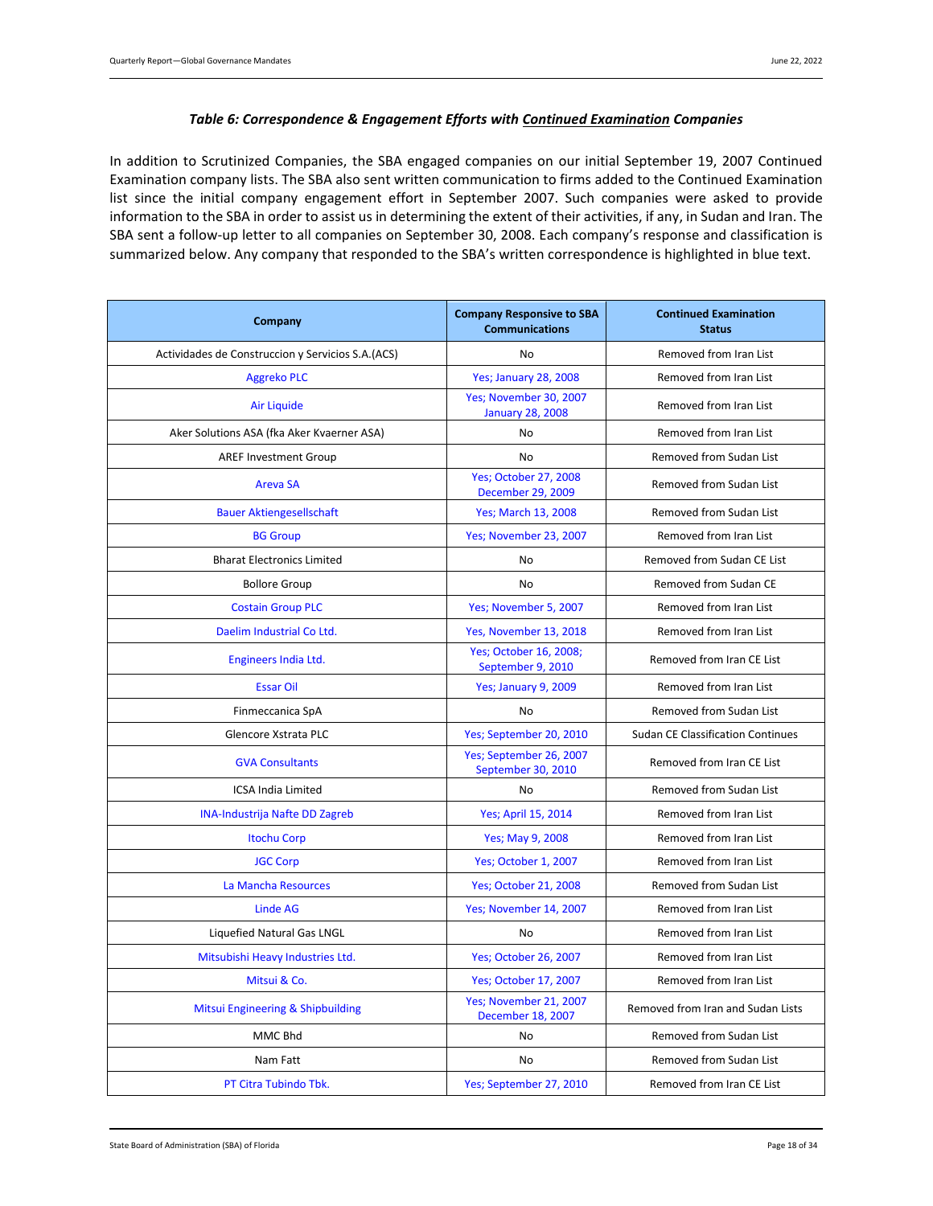#### *Table 6: Correspondence & Engagement Efforts with Continued Examination Companies*

<span id="page-17-0"></span>In addition to Scrutinized Companies, the SBA engaged companies on our initial September 19, 2007 Continued Examination company lists. The SBA also sent written communication to firms added to the Continued Examination list since the initial company engagement effort in September 2007. Such companies were asked to provide information to the SBA in order to assist us in determining the extent of their activities, if any, in Sudan and Iran. The SBA sent a follow-up letter to all companies on September 30, 2008. Each company's response and classification is summarized below. Any company that responded to the SBA's written correspondence is highlighted in blue text.

| Company                                            | <b>Company Responsive to SBA</b><br><b>Communications</b> | <b>Continued Examination</b><br><b>Status</b> |  |
|----------------------------------------------------|-----------------------------------------------------------|-----------------------------------------------|--|
| Actividades de Construccion y Servicios S.A. (ACS) | No                                                        | Removed from Iran List                        |  |
| <b>Aggreko PLC</b>                                 | <b>Yes; January 28, 2008</b>                              | Removed from Iran List                        |  |
| <b>Air Liquide</b>                                 | Yes; November 30, 2007<br><b>January 28, 2008</b>         | Removed from Iran List                        |  |
| Aker Solutions ASA (fka Aker Kvaerner ASA)         | No                                                        | Removed from Iran List                        |  |
| <b>AREF Investment Group</b>                       | No                                                        | Removed from Sudan List                       |  |
| <b>Areva SA</b>                                    | <b>Yes; October 27, 2008</b><br>December 29, 2009         | Removed from Sudan List                       |  |
| <b>Bauer Aktiengesellschaft</b>                    | <b>Yes; March 13, 2008</b>                                | Removed from Sudan List                       |  |
| <b>BG Group</b>                                    | Yes; November 23, 2007                                    | Removed from Iran List                        |  |
| <b>Bharat Electronics Limited</b>                  | No                                                        | Removed from Sudan CE List                    |  |
| <b>Bollore Group</b>                               | No                                                        | Removed from Sudan CE                         |  |
| <b>Costain Group PLC</b>                           | Yes; November 5, 2007                                     | Removed from Iran List                        |  |
| Daelim Industrial Co Ltd.                          | Yes, November 13, 2018                                    | Removed from Iran List                        |  |
| Engineers India Ltd.                               | Yes; October 16, 2008;<br>September 9, 2010               | Removed from Iran CE List                     |  |
| <b>Essar Oil</b>                                   | Yes; January 9, 2009                                      | Removed from Iran List                        |  |
| Finmeccanica SpA                                   | No                                                        | Removed from Sudan List                       |  |
| Glencore Xstrata PLC                               | Yes; September 20, 2010                                   | <b>Sudan CE Classification Continues</b>      |  |
| <b>GVA Consultants</b>                             | Yes; September 26, 2007<br>September 30, 2010             | Removed from Iran CE List                     |  |
| <b>ICSA India Limited</b>                          | No                                                        | Removed from Sudan List                       |  |
| <b>INA-Industrija Nafte DD Zagreb</b>              | Yes; April 15, 2014                                       | Removed from Iran List                        |  |
| <b>Itochu Corp</b>                                 | Yes; May 9, 2008                                          | Removed from Iran List                        |  |
| <b>JGC Corp</b>                                    | Yes; October 1, 2007                                      | Removed from Iran List                        |  |
| La Mancha Resources                                | <b>Yes; October 21, 2008</b>                              | Removed from Sudan List                       |  |
| <b>Linde AG</b>                                    | Yes; November 14, 2007                                    | Removed from Iran List                        |  |
| Liquefied Natural Gas LNGL                         | <b>No</b>                                                 | Removed from Iran List                        |  |
| Mitsubishi Heavy Industries Ltd.                   | <b>Yes; October 26, 2007</b>                              | Removed from Iran List                        |  |
| Mitsui & Co.                                       | Yes; October 17, 2007                                     | Removed from Iran List                        |  |
| Mitsui Engineering & Shipbuilding                  | Yes; November 21, 2007<br>December 18, 2007               | Removed from Iran and Sudan Lists             |  |
| MMC Bhd                                            | No                                                        | Removed from Sudan List                       |  |
| Nam Fatt                                           | No                                                        | Removed from Sudan List                       |  |
| PT Citra Tubindo Tbk.                              | Yes; September 27, 2010                                   | Removed from Iran CE List                     |  |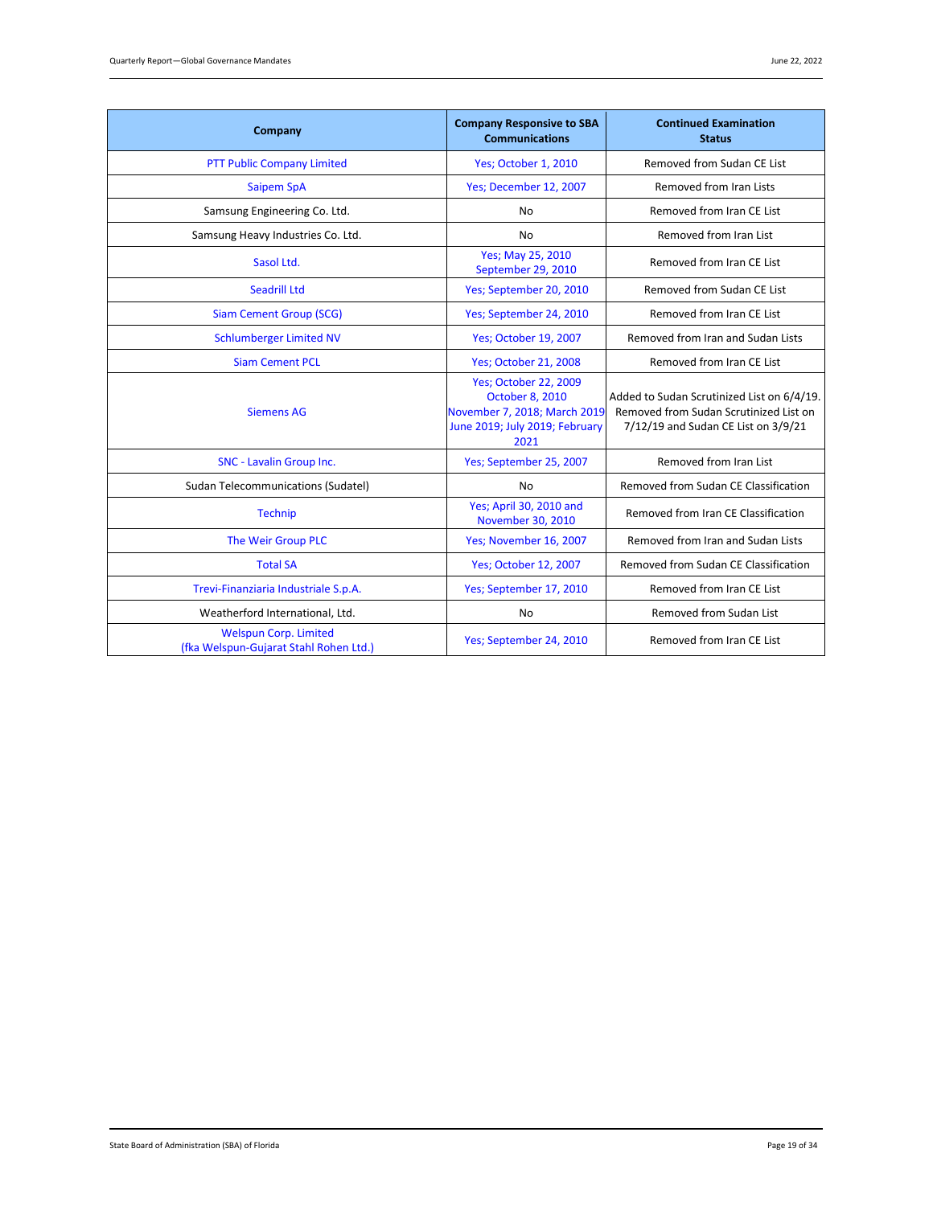| Company                                                                | <b>Company Responsive to SBA</b><br><b>Communications</b>                                                                        | <b>Continued Examination</b><br><b>Status</b>                                                                               |
|------------------------------------------------------------------------|----------------------------------------------------------------------------------------------------------------------------------|-----------------------------------------------------------------------------------------------------------------------------|
| <b>PTT Public Company Limited</b>                                      | Yes; October 1, 2010                                                                                                             | Removed from Sudan CE List                                                                                                  |
| <b>Saipem SpA</b>                                                      | Yes; December 12, 2007                                                                                                           | Removed from Iran Lists                                                                                                     |
| Samsung Engineering Co. Ltd.                                           | No                                                                                                                               | Removed from Iran CE List                                                                                                   |
| Samsung Heavy Industries Co. Ltd.                                      | No                                                                                                                               | Removed from Iran List                                                                                                      |
| Sasol Ltd.                                                             | Yes; May 25, 2010<br>September 29, 2010                                                                                          | Removed from Iran CE List                                                                                                   |
| <b>Seadrill Ltd</b>                                                    | Yes; September 20, 2010                                                                                                          | Removed from Sudan CE List                                                                                                  |
| <b>Siam Cement Group (SCG)</b>                                         | Yes; September 24, 2010                                                                                                          | Removed from Iran CE List                                                                                                   |
| <b>Schlumberger Limited NV</b>                                         | <b>Yes: October 19, 2007</b>                                                                                                     | Removed from Iran and Sudan Lists                                                                                           |
| <b>Siam Cement PCL</b>                                                 | <b>Yes</b> ; October 21, 2008                                                                                                    | Removed from Iran CE List                                                                                                   |
| <b>Siemens AG</b>                                                      | <b>Yes; October 22, 2009</b><br><b>October 8, 2010</b><br>November 7, 2018; March 2019<br>June 2019; July 2019; February<br>2021 | Added to Sudan Scrutinized List on 6/4/19.<br>Removed from Sudan Scrutinized List on<br>7/12/19 and Sudan CE List on 3/9/21 |
| SNC - Lavalin Group Inc.                                               | Yes; September 25, 2007                                                                                                          | Removed from Iran List                                                                                                      |
| Sudan Telecommunications (Sudatel)                                     | <b>No</b>                                                                                                                        | Removed from Sudan CE Classification                                                                                        |
| <b>Technip</b>                                                         | Yes; April 30, 2010 and<br>November 30, 2010                                                                                     | Removed from Iran CE Classification                                                                                         |
| The Weir Group PLC                                                     | Yes; November 16, 2007                                                                                                           | Removed from Iran and Sudan Lists                                                                                           |
| <b>Total SA</b>                                                        | <b>Yes</b> ; October 12, 2007                                                                                                    | Removed from Sudan CE Classification                                                                                        |
| Trevi-Finanziaria Industriale S.p.A.                                   | Yes; September 17, 2010                                                                                                          | Removed from Iran CE List                                                                                                   |
| Weatherford International, Ltd.                                        | No                                                                                                                               | Removed from Sudan List                                                                                                     |
| <b>Welspun Corp. Limited</b><br>(fka Welspun-Gujarat Stahl Rohen Ltd.) | Yes; September 24, 2010                                                                                                          | Removed from Iran CE List                                                                                                   |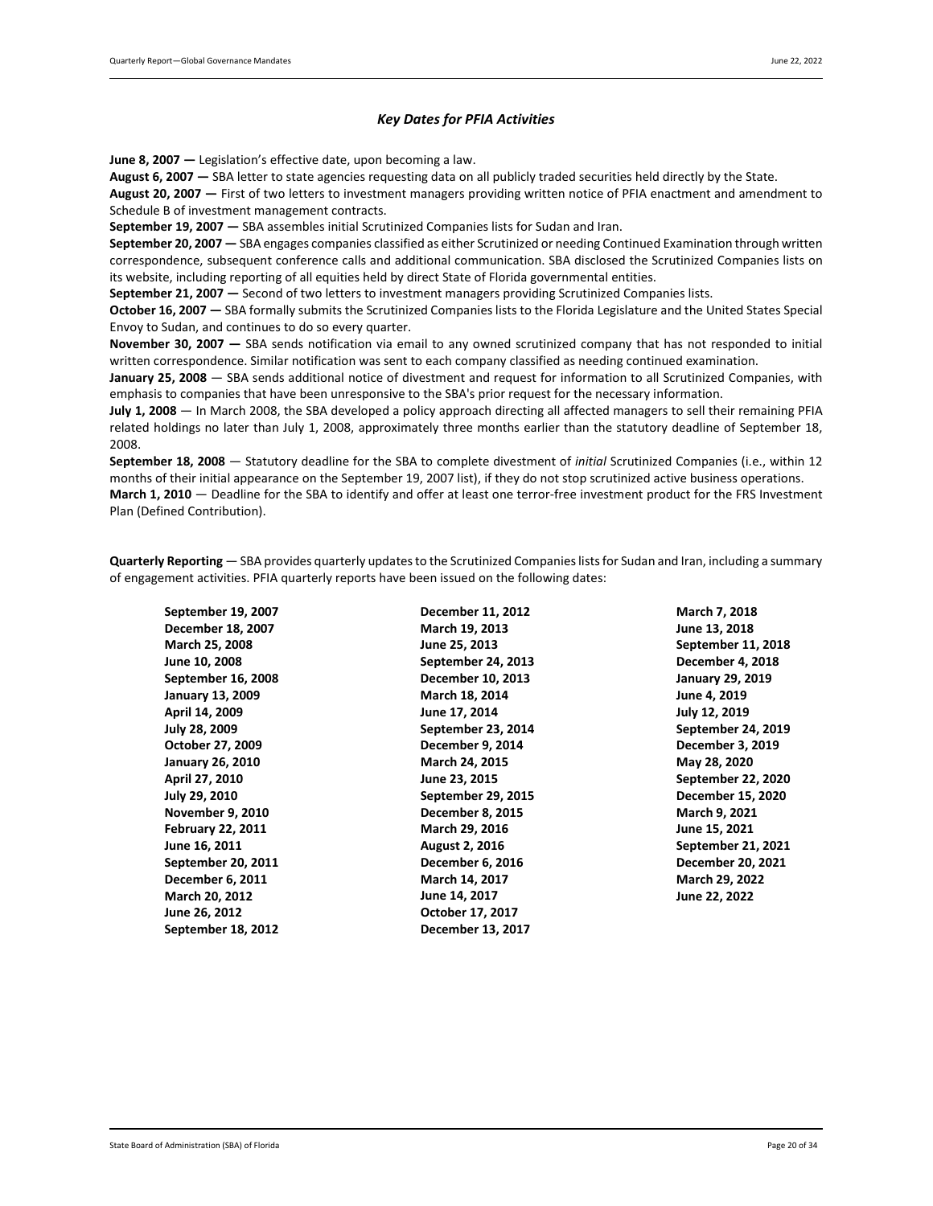### *Key Dates for PFIA Activities*

<span id="page-19-0"></span>**June 8, 2007 —** Legislation's effective date, upon becoming a law.

August 6, 2007 – SBA letter to state agencies requesting data on all publicly traded securities held directly by the State.

**August 20, 2007 —** First of two letters to investment managers providing written notice of PFIA enactment and amendment to Schedule B of investment management contracts.

**September 19, 2007 —** SBA assembles initial Scrutinized Companies lists for Sudan and Iran.

**September 20, 2007 —** SBA engages companies classified as either Scrutinized or needing Continued Examination through written correspondence, subsequent conference calls and additional communication. SBA disclosed the Scrutinized Companies lists on its website, including reporting of all equities held by direct State of Florida governmental entities.

**September 21, 2007 —** Second of two letters to investment managers providing Scrutinized Companies lists.

**October 16, 2007 —** SBA formally submits the Scrutinized Companies lists to the Florida Legislature and the United States Special Envoy to Sudan, and continues to do so every quarter.

**November 30, 2007 —** SBA sends notification via email to any owned scrutinized company that has not responded to initial written correspondence. Similar notification was sent to each company classified as needing continued examination.

**January 25, 2008** — SBA sends additional notice of divestment and request for information to all Scrutinized Companies, with emphasis to companies that have been unresponsive to the SBA's prior request for the necessary information.

**July 1, 2008** — In March 2008, the SBA developed a policy approach directing all affected managers to sell their remaining PFIA related holdings no later than July 1, 2008, approximately three months earlier than the statutory deadline of September 18, 2008.

**September 18, 2008** — Statutory deadline for the SBA to complete divestment of *initial* Scrutinized Companies (i.e., within 12 months of their initial appearance on the September 19, 2007 list), if they do not stop scrutinized active business operations. **March 1, 2010** — Deadline for the SBA to identify and offer at least one terror-free investment product for the FRS Investment Plan (Defined Contribution).

**Quarterly Reporting** — SBA provides quarterly updates to the Scrutinized Companies lists for Sudan and Iran, including a summary of engagement activities. PFIA quarterly reports have been issued on the following dates:

**September 19, 2007 December 18, 2007 March 25, 2008 June 10, 2008 September 16, 2008 January 13, 2009 April 14, 2009 July 28, 2009 October 27, 2009 January 26, 2010 April 27, 2010 July 29, 2010 November 9, 2010 February 22, 2011 June 16, 2011 September 20, 2011 December 6, 2011 March 20, 2012 June 26, 2012 September 18, 2012**

**December 11, 2012 March 19, 2013 June 25, 2013 September 24, 2013 December 10, 2013 March 18, 2014 June 17, 2014 September 23, 2014 December 9, 2014 March 24, 2015 June 23, 2015 September 29, 2015 December 8, 2015 March 29, 2016 August 2, 2016 December 6, 2016 March 14, 2017 June 14, 2017 October 17, 2017 December 13, 2017**

**March 7, 2018 June 13, 2018 September 11, 2018 December 4, 2018 January 29, 2019 June 4, 2019 July 12, 2019 September 24, 2019 December 3, 2019 May 28, 2020 September 22, 2020 December 15, 2020 March 9, 2021 June 15, 2021 September 21, 2021 December 20, 2021 March 29, 2022 June 22, 2022**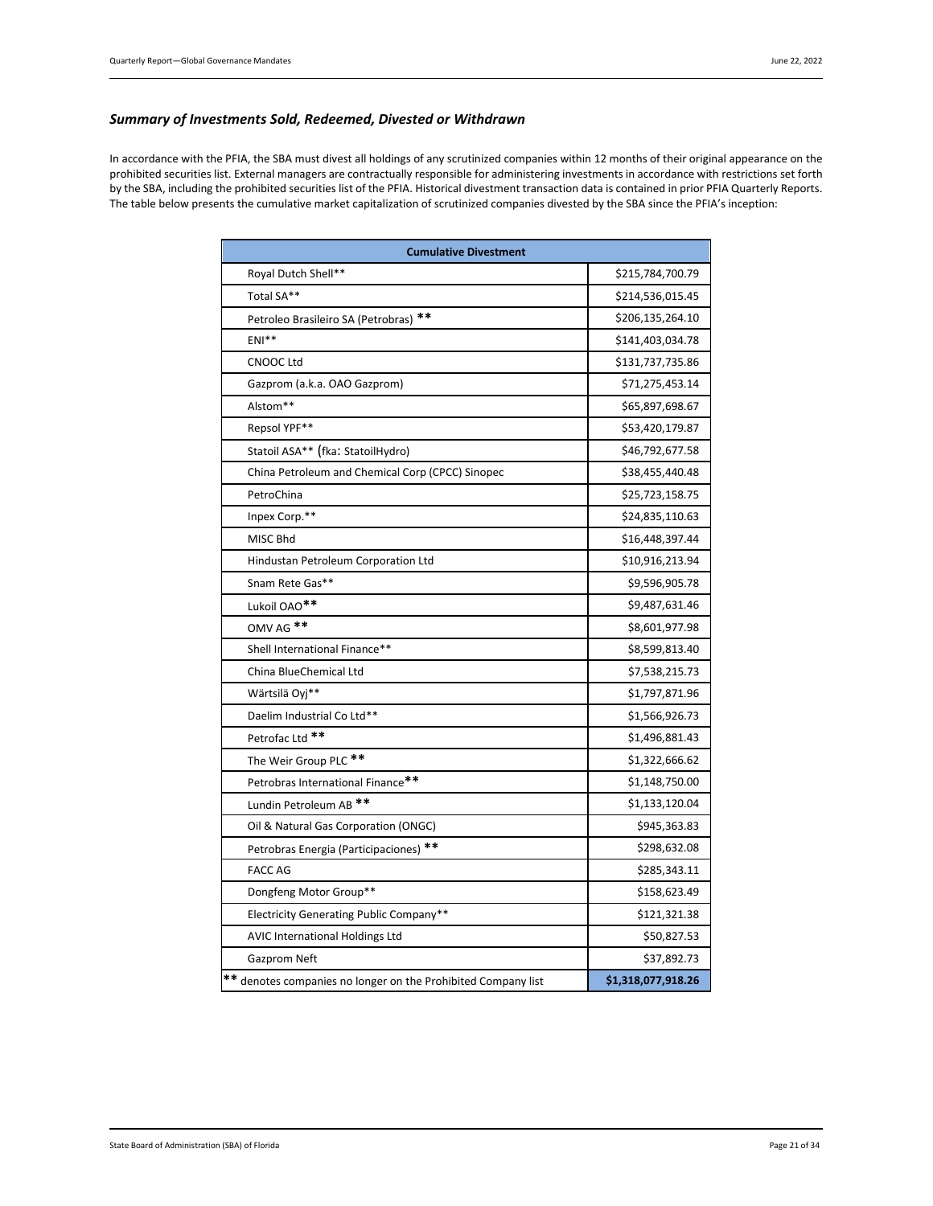### <span id="page-20-0"></span>*Summary of Investments Sold, Redeemed, Divested or Withdrawn*

In accordance with the PFIA, the SBA must divest all holdings of any scrutinized companies within 12 months of their original appearance on the prohibited securities list. External managers are contractually responsible for administering investments in accordance with restrictions set forth by the SBA, including the prohibited securities list of the PFIA. Historical divestment transaction data is contained in prior PFIA Quarterly Reports. The table below presents the cumulative market capitalization of scrutinized companies divested by the SBA since the PFIA's inception:

| <b>Cumulative Divestment</b>                                  |                    |  |  |  |
|---------------------------------------------------------------|--------------------|--|--|--|
| Royal Dutch Shell**                                           | \$215,784,700.79   |  |  |  |
| Total SA**                                                    | \$214,536,015.45   |  |  |  |
| Petroleo Brasileiro SA (Petrobras) **                         | \$206,135,264.10   |  |  |  |
| $ENI**$                                                       | \$141,403,034.78   |  |  |  |
| <b>CNOOC Ltd</b>                                              | \$131,737,735.86   |  |  |  |
| Gazprom (a.k.a. OAO Gazprom)                                  | \$71,275,453.14    |  |  |  |
| Alstom**                                                      | \$65,897,698.67    |  |  |  |
| Repsol YPF**                                                  | \$53,420,179.87    |  |  |  |
| Statoil ASA** (fka: StatoilHydro)                             | \$46,792,677.58    |  |  |  |
| China Petroleum and Chemical Corp (CPCC) Sinopec              | \$38,455,440.48    |  |  |  |
| PetroChina                                                    | \$25,723,158.75    |  |  |  |
| Inpex Corp.**                                                 | \$24,835,110.63    |  |  |  |
| MISC Bhd                                                      | \$16,448,397.44    |  |  |  |
| Hindustan Petroleum Corporation Ltd                           | \$10,916,213.94    |  |  |  |
| Snam Rete Gas**                                               | \$9,596,905.78     |  |  |  |
| Lukoil OAO <sup>**</sup>                                      | \$9,487,631.46     |  |  |  |
| OMV AG <sup>**</sup>                                          | \$8,601,977.98     |  |  |  |
| Shell International Finance**                                 | \$8,599,813.40     |  |  |  |
| China BlueChemical Ltd                                        | \$7,538,215.73     |  |  |  |
| Wärtsilä Oyj**                                                | \$1,797,871.96     |  |  |  |
| Daelim Industrial Co Ltd**                                    | \$1,566,926.73     |  |  |  |
| Petrofac Ltd **                                               | \$1,496,881.43     |  |  |  |
| The Weir Group PLC **                                         | \$1,322,666.62     |  |  |  |
| Petrobras International Finance**                             | \$1,148,750.00     |  |  |  |
| Lundin Petroleum AB <sup>**</sup>                             | \$1,133,120.04     |  |  |  |
| Oil & Natural Gas Corporation (ONGC)                          | \$945,363.83       |  |  |  |
| Petrobras Energia (Participaciones) **                        | \$298,632.08       |  |  |  |
| <b>FACC AG</b>                                                | \$285,343.11       |  |  |  |
| Dongfeng Motor Group**                                        | \$158,623.49       |  |  |  |
| Electricity Generating Public Company**                       | \$121,321.38       |  |  |  |
| <b>AVIC International Holdings Ltd</b>                        | \$50,827.53        |  |  |  |
| Gazprom Neft                                                  | \$37,892.73        |  |  |  |
| ** denotes companies no longer on the Prohibited Company list | \$1,318,077,918.26 |  |  |  |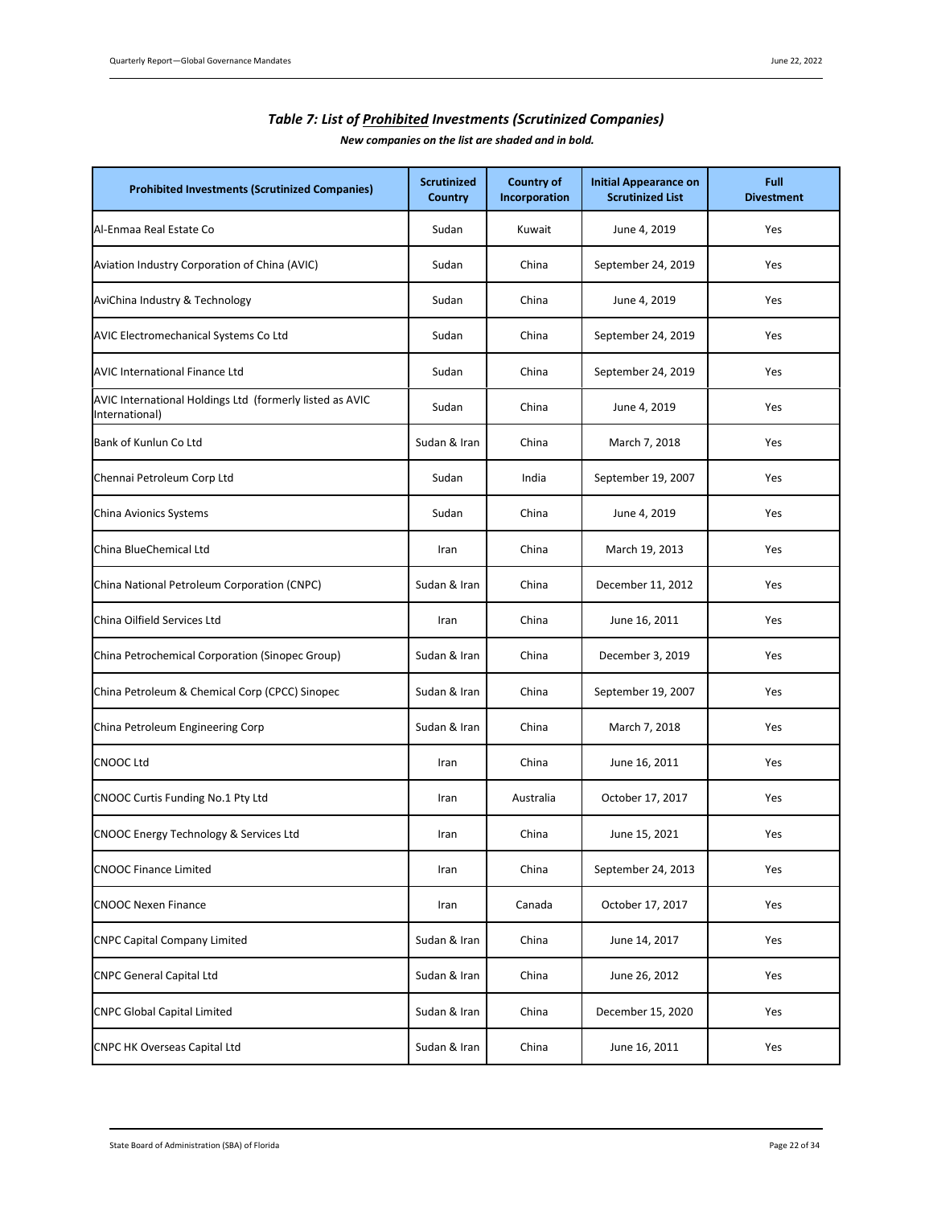<span id="page-21-0"></span>

| <b>Prohibited Investments (Scrutinized Companies)</b>                      | <b>Scrutinized</b><br>Country | <b>Country of</b><br>Incorporation | <b>Initial Appearance on</b><br><b>Scrutinized List</b> | Full<br><b>Divestment</b> |
|----------------------------------------------------------------------------|-------------------------------|------------------------------------|---------------------------------------------------------|---------------------------|
| Al-Enmaa Real Estate Co                                                    | Sudan                         | Kuwait                             | June 4, 2019                                            | Yes                       |
| Aviation Industry Corporation of China (AVIC)                              | Sudan                         | China                              | September 24, 2019                                      | Yes                       |
| AviChina Industry & Technology                                             | Sudan                         | China                              | June 4, 2019                                            | Yes                       |
| AVIC Electromechanical Systems Co Ltd                                      | Sudan                         | China                              | September 24, 2019                                      | Yes                       |
| <b>AVIC International Finance Ltd</b>                                      | Sudan                         | China                              | September 24, 2019                                      | Yes                       |
| AVIC International Holdings Ltd (formerly listed as AVIC<br>International) | Sudan                         | China                              | June 4, 2019                                            | Yes                       |
| Bank of Kunlun Co Ltd                                                      | Sudan & Iran                  | China                              | March 7, 2018                                           | Yes                       |
| Chennai Petroleum Corp Ltd                                                 | Sudan                         | India                              | September 19, 2007                                      | Yes                       |
| China Avionics Systems                                                     | Sudan                         | China                              | June 4, 2019                                            | Yes                       |
| China BlueChemical Ltd                                                     | Iran                          | China                              | March 19, 2013                                          | Yes                       |
| China National Petroleum Corporation (CNPC)                                | Sudan & Iran                  | China                              | December 11, 2012                                       | Yes                       |
| China Oilfield Services Ltd                                                | Iran                          | China                              | June 16, 2011                                           | Yes                       |
| China Petrochemical Corporation (Sinopec Group)                            | Sudan & Iran                  | China                              | December 3, 2019                                        | Yes                       |
| China Petroleum & Chemical Corp (CPCC) Sinopec                             | Sudan & Iran                  | China                              | September 19, 2007                                      | Yes                       |
| China Petroleum Engineering Corp                                           | Sudan & Iran                  | China                              | March 7, 2018                                           | Yes                       |
| <b>CNOOC Ltd</b>                                                           | Iran                          | China                              | June 16, 2011                                           | Yes                       |
| CNOOC Curtis Funding No.1 Pty Ltd                                          | Iran                          | Australia                          | October 17, 2017                                        | Yes                       |
| CNOOC Energy Technology & Services Ltd                                     | Iran                          | China                              | June 15, 2021                                           | Yes                       |
| <b>CNOOC Finance Limited</b>                                               | Iran                          | China                              | September 24, 2013                                      | Yes                       |
| <b>CNOOC Nexen Finance</b>                                                 | Iran                          | Canada                             | October 17, 2017                                        | Yes                       |
| <b>CNPC Capital Company Limited</b>                                        | Sudan & Iran                  | China                              | June 14, 2017                                           | Yes                       |
| <b>CNPC General Capital Ltd</b>                                            | Sudan & Iran                  | China                              | June 26, 2012                                           | Yes                       |
| <b>CNPC Global Capital Limited</b>                                         | Sudan & Iran                  | China                              | December 15, 2020                                       | Yes                       |
| <b>CNPC HK Overseas Capital Ltd</b>                                        | Sudan & Iran                  | China                              | June 16, 2011                                           | Yes                       |

# *Table 7: List of Prohibited Investments (Scrutinized Companies)*

*New companies on the list are shaded and in bold.*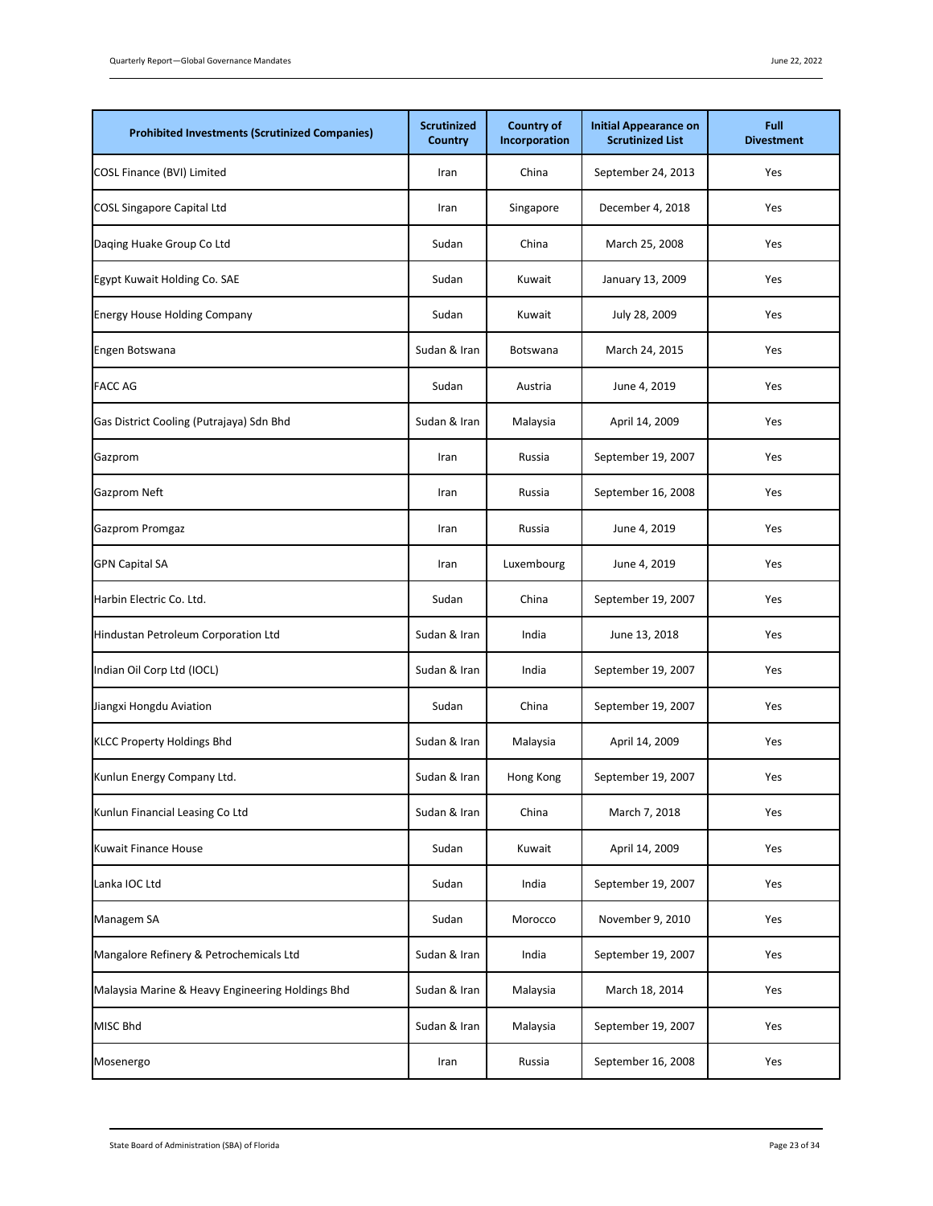| <b>Prohibited Investments (Scrutinized Companies)</b> | <b>Scrutinized</b><br>Country | <b>Country of</b><br>Incorporation | <b>Initial Appearance on</b><br><b>Scrutinized List</b> | Full<br><b>Divestment</b> |
|-------------------------------------------------------|-------------------------------|------------------------------------|---------------------------------------------------------|---------------------------|
| COSL Finance (BVI) Limited                            | Iran                          | China                              | September 24, 2013                                      | Yes                       |
| <b>COSL Singapore Capital Ltd</b>                     | Iran                          | Singapore                          | December 4, 2018                                        | Yes                       |
| Daqing Huake Group Co Ltd                             | Sudan                         | China                              | March 25, 2008                                          | Yes                       |
| Egypt Kuwait Holding Co. SAE                          | Sudan                         | Kuwait                             | January 13, 2009                                        | Yes                       |
| <b>Energy House Holding Company</b>                   | Sudan                         | Kuwait                             | July 28, 2009                                           | Yes                       |
| Engen Botswana                                        | Sudan & Iran                  | Botswana                           | March 24, 2015                                          | Yes                       |
| <b>FACC AG</b>                                        | Sudan                         | Austria                            | June 4, 2019                                            | Yes                       |
| Gas District Cooling (Putrajaya) Sdn Bhd              | Sudan & Iran                  | Malaysia                           | April 14, 2009                                          | Yes                       |
| Gazprom                                               | Iran                          | Russia                             | September 19, 2007                                      | Yes                       |
| Gazprom Neft                                          | Iran                          | Russia                             | September 16, 2008                                      | Yes                       |
| Gazprom Promgaz                                       | Iran                          | Russia                             | June 4, 2019                                            | Yes                       |
| <b>GPN Capital SA</b>                                 | Iran                          | Luxembourg                         | June 4, 2019                                            | Yes                       |
| Harbin Electric Co. Ltd.                              | Sudan                         | China                              | September 19, 2007                                      | Yes                       |
| Hindustan Petroleum Corporation Ltd                   | Sudan & Iran                  | India                              | June 13, 2018                                           | Yes                       |
| Indian Oil Corp Ltd (IOCL)                            | Sudan & Iran                  | India                              | September 19, 2007                                      | Yes                       |
| Jiangxi Hongdu Aviation                               | Sudan                         | China                              | September 19, 2007                                      | Yes                       |
| <b>KLCC Property Holdings Bhd</b>                     | Sudan & Iran                  | Malaysia                           | April 14, 2009                                          | Yes                       |
| Kunlun Energy Company Ltd.                            | Sudan & Iran                  | Hong Kong                          | September 19, 2007                                      | Yes                       |
| Kunlun Financial Leasing Co Ltd                       | Sudan & Iran                  | China                              | March 7, 2018                                           | Yes                       |
| Kuwait Finance House                                  | Sudan                         | Kuwait                             | April 14, 2009                                          | Yes                       |
| Lanka IOC Ltd                                         | Sudan                         | India                              | September 19, 2007                                      | Yes                       |
| Managem SA                                            | Sudan                         | Morocco                            | November 9, 2010                                        | Yes                       |
| Mangalore Refinery & Petrochemicals Ltd               | Sudan & Iran                  | India                              | September 19, 2007                                      | Yes                       |
| Malaysia Marine & Heavy Engineering Holdings Bhd      | Sudan & Iran                  | Malaysia                           | March 18, 2014                                          | Yes                       |
| MISC Bhd                                              | Sudan & Iran                  | Malaysia                           | September 19, 2007                                      | Yes                       |
| Mosenergo                                             | Iran                          | Russia                             | September 16, 2008                                      | Yes                       |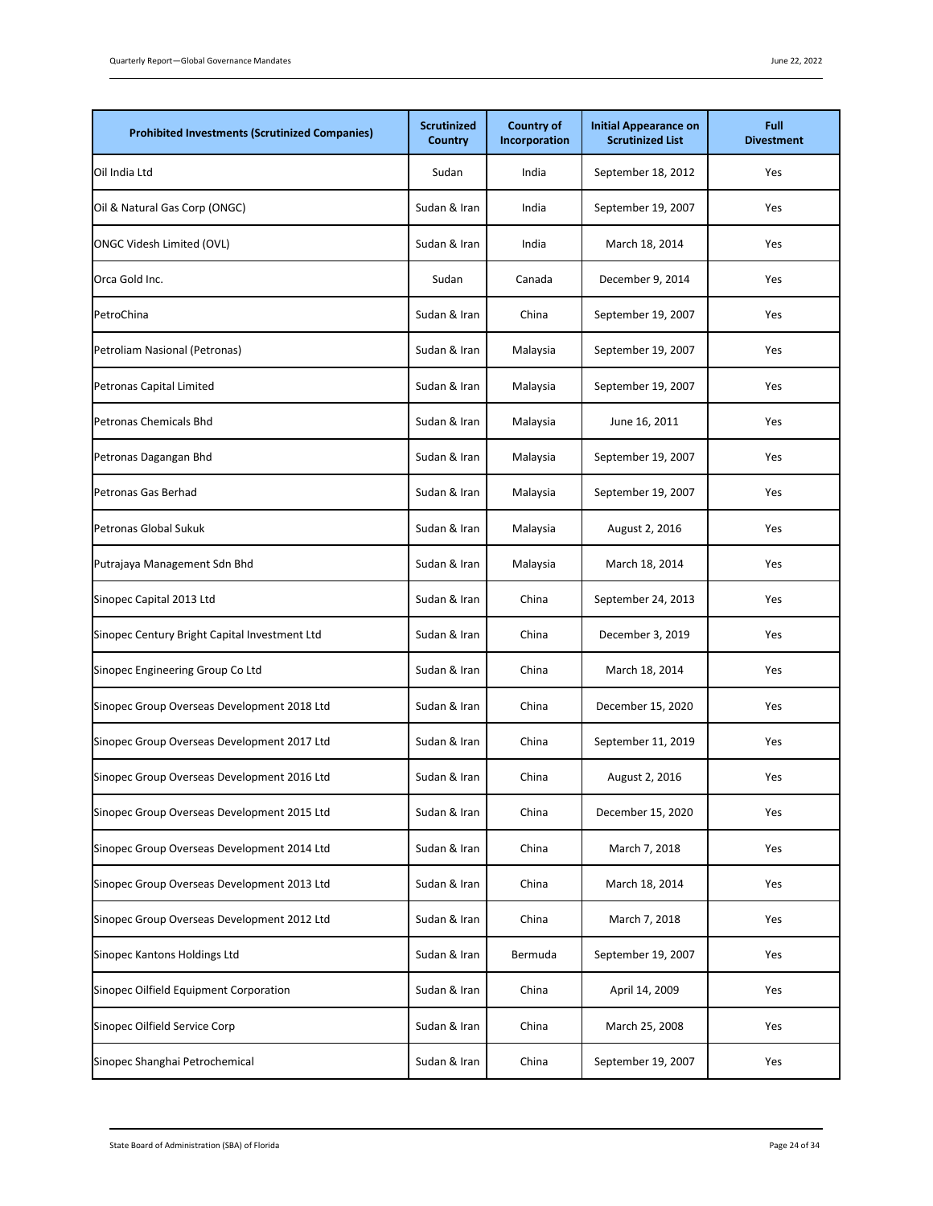| <b>Prohibited Investments (Scrutinized Companies)</b> | <b>Scrutinized</b><br>Country | <b>Country of</b><br>Incorporation | <b>Initial Appearance on</b><br><b>Scrutinized List</b> | Full<br><b>Divestment</b> |
|-------------------------------------------------------|-------------------------------|------------------------------------|---------------------------------------------------------|---------------------------|
| Oil India Ltd                                         | Sudan                         | India                              | September 18, 2012                                      | Yes                       |
| Oil & Natural Gas Corp (ONGC)                         | Sudan & Iran                  | India                              | September 19, 2007                                      | Yes                       |
| <b>ONGC Videsh Limited (OVL)</b>                      | Sudan & Iran                  | India                              | March 18, 2014                                          | Yes                       |
| Orca Gold Inc.                                        | Sudan                         | Canada                             | December 9, 2014                                        | Yes                       |
| PetroChina                                            | Sudan & Iran                  | China                              | September 19, 2007                                      | Yes                       |
| Petroliam Nasional (Petronas)                         | Sudan & Iran                  | Malaysia                           | September 19, 2007                                      | Yes                       |
| Petronas Capital Limited                              | Sudan & Iran                  | Malaysia                           | September 19, 2007                                      | Yes                       |
| <b>Petronas Chemicals Bhd</b>                         | Sudan & Iran                  | Malaysia                           | June 16, 2011                                           | Yes                       |
| Petronas Dagangan Bhd                                 | Sudan & Iran                  | Malaysia                           | September 19, 2007                                      | Yes                       |
| Petronas Gas Berhad                                   | Sudan & Iran                  | Malaysia                           | September 19, 2007                                      | Yes                       |
| Petronas Global Sukuk                                 | Sudan & Iran                  | Malaysia                           | August 2, 2016                                          | Yes                       |
| Putrajaya Management Sdn Bhd                          | Sudan & Iran                  | Malaysia                           | March 18, 2014                                          | Yes                       |
| Sinopec Capital 2013 Ltd                              | Sudan & Iran                  | China                              | September 24, 2013                                      | Yes                       |
| Sinopec Century Bright Capital Investment Ltd         | Sudan & Iran                  | China                              | December 3, 2019                                        | Yes                       |
| Sinopec Engineering Group Co Ltd                      | Sudan & Iran                  | China                              | March 18, 2014                                          | Yes                       |
| Sinopec Group Overseas Development 2018 Ltd           | Sudan & Iran                  | China                              | December 15, 2020                                       | Yes                       |
| Sinopec Group Overseas Development 2017 Ltd           | Sudan & Iran                  | China                              | September 11, 2019                                      | Yes                       |
| Sinopec Group Overseas Development 2016 Ltd           | Sudan & Iran                  | China                              | August 2, 2016                                          | Yes                       |
| Sinopec Group Overseas Development 2015 Ltd           | Sudan & Iran                  | China                              | December 15, 2020                                       | Yes                       |
| Sinopec Group Overseas Development 2014 Ltd           | Sudan & Iran                  | China                              | March 7, 2018                                           | Yes                       |
| Sinopec Group Overseas Development 2013 Ltd           | Sudan & Iran                  | China                              | March 18, 2014                                          | Yes                       |
| Sinopec Group Overseas Development 2012 Ltd           | Sudan & Iran                  | China                              | March 7, 2018                                           | Yes                       |
| Sinopec Kantons Holdings Ltd                          | Sudan & Iran                  | Bermuda                            | September 19, 2007                                      | Yes                       |
| Sinopec Oilfield Equipment Corporation                | Sudan & Iran                  | China                              | April 14, 2009                                          | Yes                       |
| Sinopec Oilfield Service Corp                         | Sudan & Iran                  | China                              | March 25, 2008                                          | Yes                       |
| Sinopec Shanghai Petrochemical                        | Sudan & Iran                  | China                              | September 19, 2007                                      | Yes                       |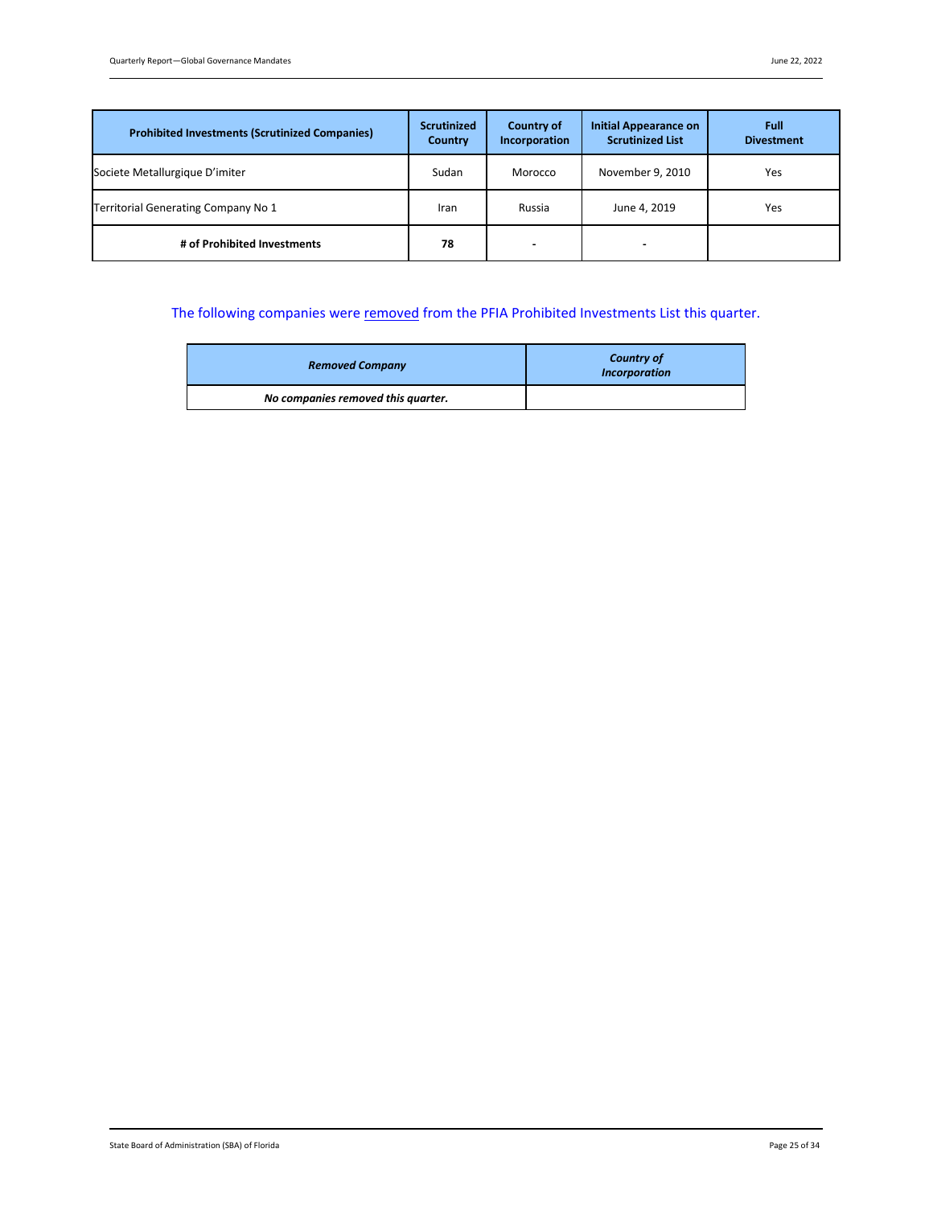| <b>Prohibited Investments (Scrutinized Companies)</b> | <b>Scrutinized</b><br><b>Country</b> | Country of<br>Incorporation | Initial Appearance on<br><b>Scrutinized List</b> | Full<br><b>Divestment</b> |
|-------------------------------------------------------|--------------------------------------|-----------------------------|--------------------------------------------------|---------------------------|
| Societe Metallurgique D'imiter                        | Sudan                                | Morocco                     | November 9, 2010                                 | Yes                       |
| Territorial Generating Company No 1                   | Iran                                 | Russia                      | June 4, 2019                                     | Yes                       |
| # of Prohibited Investments                           | 78                                   | -                           |                                                  |                           |

# The following companies were removed from the PFIA Prohibited Investments List this quarter.

| <b>Removed Company</b>             | <b>Country of</b><br><b>Incorporation</b> |
|------------------------------------|-------------------------------------------|
| No companies removed this quarter. |                                           |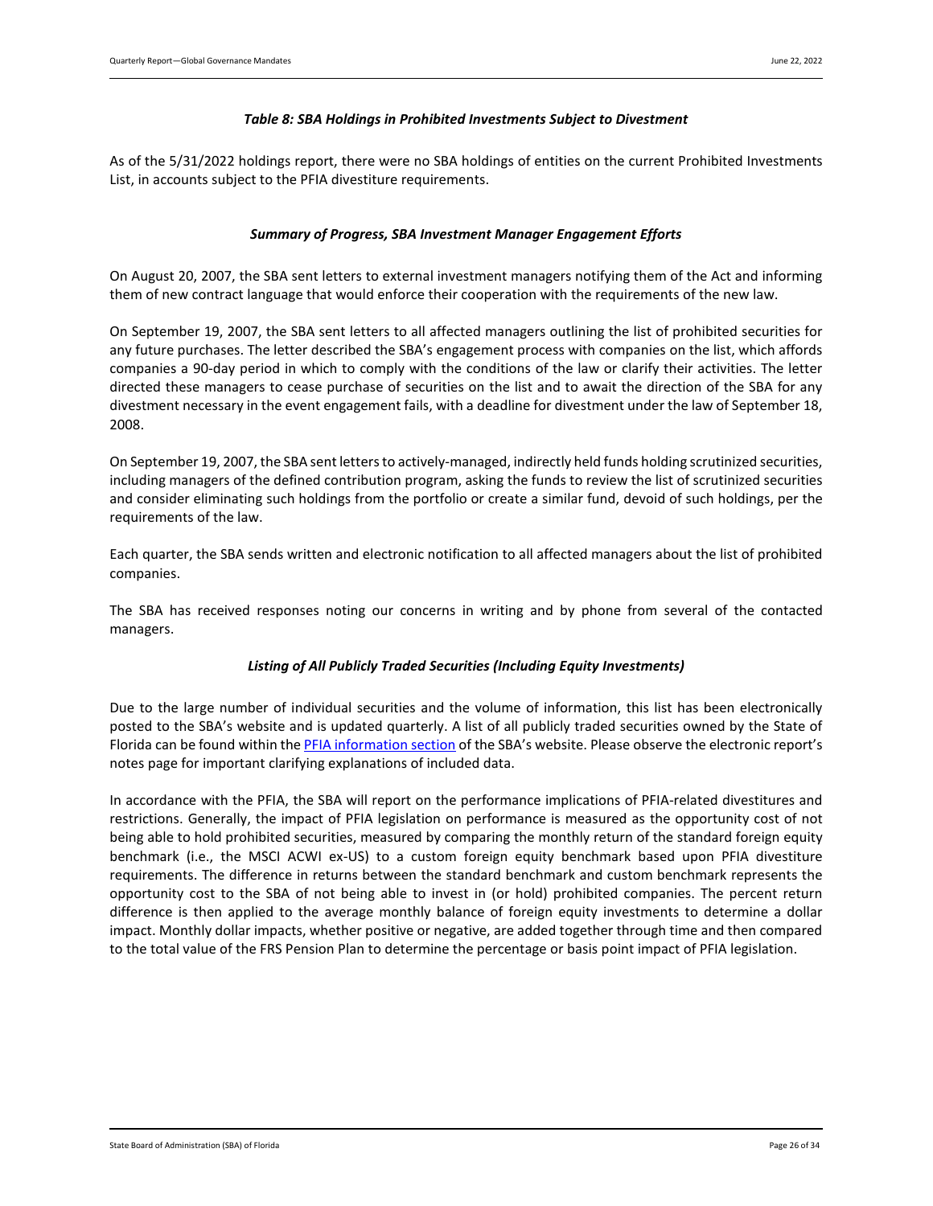### *Table 8: SBA Holdings in Prohibited Investments Subject to Divestment*

<span id="page-25-1"></span><span id="page-25-0"></span>As of the 5/31/2022 holdings report, there were no SBA holdings of entities on the current Prohibited Investments List, in accounts subject to the PFIA divestiture requirements.

### *Summary of Progress, SBA Investment Manager Engagement Efforts*

On August 20, 2007, the SBA sent letters to external investment managers notifying them of the Act and informing them of new contract language that would enforce their cooperation with the requirements of the new law.

On September 19, 2007, the SBA sent letters to all affected managers outlining the list of prohibited securities for any future purchases. The letter described the SBA's engagement process with companies on the list, which affords companies a 90-day period in which to comply with the conditions of the law or clarify their activities. The letter directed these managers to cease purchase of securities on the list and to await the direction of the SBA for any divestment necessary in the event engagement fails, with a deadline for divestment under the law of September 18, 2008.

On September 19, 2007, the SBA sent letters to actively-managed, indirectly held funds holding scrutinized securities, including managers of the defined contribution program, asking the funds to review the list of scrutinized securities and consider eliminating such holdings from the portfolio or create a similar fund, devoid of such holdings, per the requirements of the law.

Each quarter, the SBA sends written and electronic notification to all affected managers about the list of prohibited companies.

<span id="page-25-2"></span>The SBA has received responses noting our concerns in writing and by phone from several of the contacted managers.

### *Listing of All Publicly Traded Securities (Including Equity Investments)*

Due to the large number of individual securities and the volume of information, this list has been electronically posted to the SBA's website and is updated quarterly. A list of all publicly traded securities owned by the State of Florida can be found within th[e PFIA information section](https://www.sbafla.com/fsb/FundsWeManage/FRSPensionPlan/GlobalGovernanceMandates.aspx) of the SBA's website. Please observe the electronic report's notes page for important clarifying explanations of included data.

In accordance with the PFIA, the SBA will report on the performance implications of PFIA-related divestitures and restrictions. Generally, the impact of PFIA legislation on performance is measured as the opportunity cost of not being able to hold prohibited securities, measured by comparing the monthly return of the standard foreign equity benchmark (i.e., the MSCI ACWI ex-US) to a custom foreign equity benchmark based upon PFIA divestiture requirements. The difference in returns between the standard benchmark and custom benchmark represents the opportunity cost to the SBA of not being able to invest in (or hold) prohibited companies. The percent return difference is then applied to the average monthly balance of foreign equity investments to determine a dollar impact. Monthly dollar impacts, whether positive or negative, are added together through time and then compared to the total value of the FRS Pension Plan to determine the percentage or basis point impact of PFIA legislation.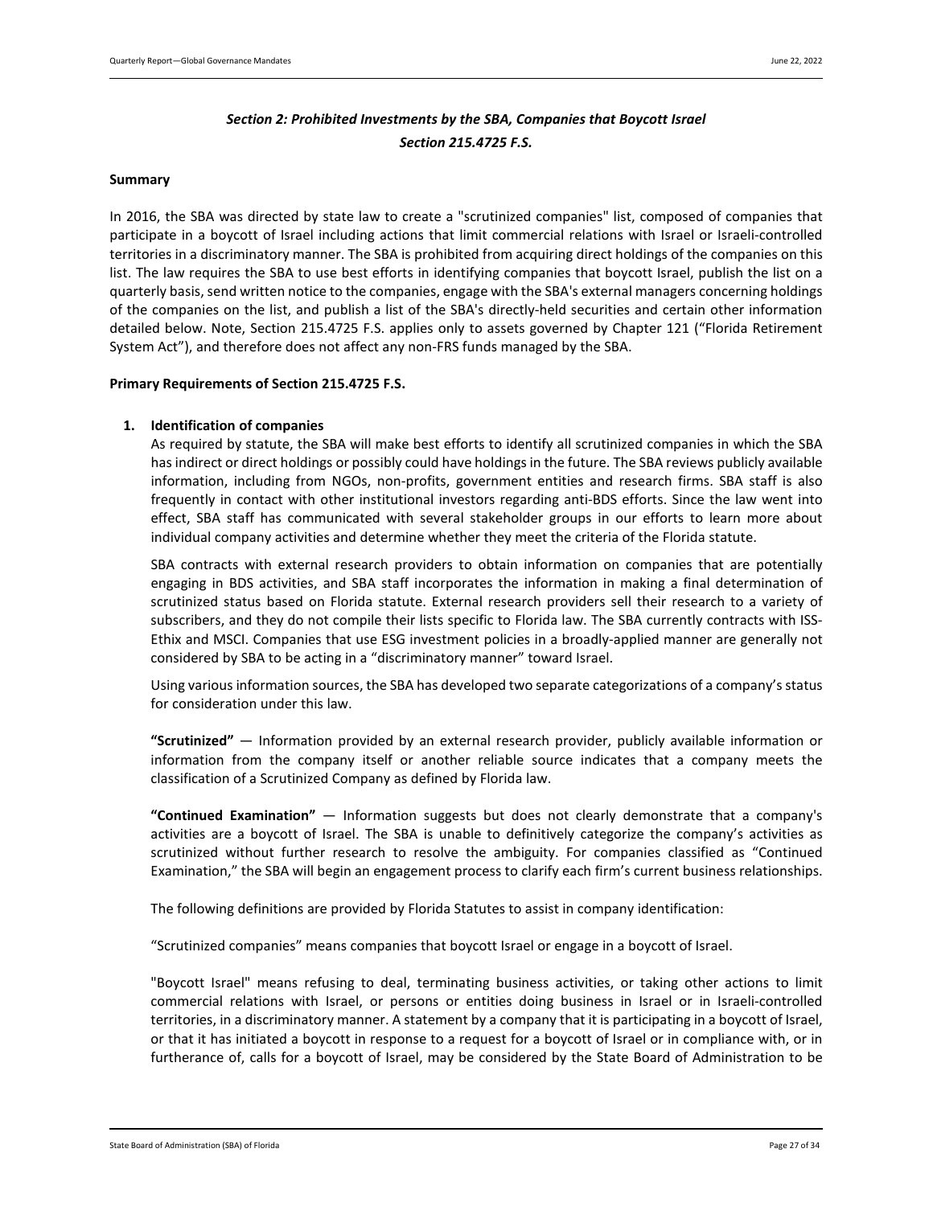# *Section 2: Prohibited Investments by the SBA, Companies that Boycott Israel Section 215.4725 F.S.*

### <span id="page-26-0"></span>**Summary**

In 2016, the SBA was directed by state law to create a "scrutinized companies" list, composed of companies that participate in a boycott of Israel including actions that limit commercial relations with Israel or Israeli-controlled territories in a discriminatory manner. The SBA is prohibited from acquiring direct holdings of the companies on this list. The law requires the SBA to use best efforts in identifying companies that boycott Israel, publish the list on a quarterly basis, send written notice to the companies, engage with the SBA's external managers concerning holdings of the companies on the list, and publish a list of the SBA's directly-held securities and certain other information detailed below. Note, Section 215.4725 F.S. applies only to assets governed by Chapter 121 ("Florida Retirement System Act"), and therefore does not affect any non-FRS funds managed by the SBA.

### <span id="page-26-1"></span>**Primary Requirements of Section 215.4725 F.S.**

### **1. Identification of companies**

As required by statute, the SBA will make best efforts to identify all scrutinized companies in which the SBA has indirect or direct holdings or possibly could have holdings in the future. The SBA reviews publicly available information, including from NGOs, non-profits, government entities and research firms. SBA staff is also frequently in contact with other institutional investors regarding anti-BDS efforts. Since the law went into effect, SBA staff has communicated with several stakeholder groups in our efforts to learn more about individual company activities and determine whether they meet the criteria of the Florida statute.

SBA contracts with external research providers to obtain information on companies that are potentially engaging in BDS activities, and SBA staff incorporates the information in making a final determination of scrutinized status based on Florida statute. External research providers sell their research to a variety of subscribers, and they do not compile their lists specific to Florida law. The SBA currently contracts with ISS-Ethix and MSCI. Companies that use ESG investment policies in a broadly-applied manner are generally not considered by SBA to be acting in a "discriminatory manner" toward Israel.

Using various information sources, the SBA has developed two separate categorizations of a company's status for consideration under this law.

**"Scrutinized"** — Information provided by an external research provider, publicly available information or information from the company itself or another reliable source indicates that a company meets the classification of a Scrutinized Company as defined by Florida law.

**"Continued Examination"** — Information suggests but does not clearly demonstrate that a company's activities are a boycott of Israel. The SBA is unable to definitively categorize the company's activities as scrutinized without further research to resolve the ambiguity. For companies classified as "Continued Examination," the SBA will begin an engagement process to clarify each firm's current business relationships.

The following definitions are provided by Florida Statutes to assist in company identification:

"Scrutinized companies" means companies that boycott Israel or engage in a boycott of Israel.

"Boycott Israel" means refusing to deal, terminating business activities, or taking other actions to limit commercial relations with Israel, or persons or entities doing business in Israel or in Israeli-controlled territories, in a discriminatory manner. A statement by a company that it is participating in a boycott of Israel, or that it has initiated a boycott in response to a request for a boycott of Israel or in compliance with, or in furtherance of, calls for a boycott of Israel, may be considered by the State Board of Administration to be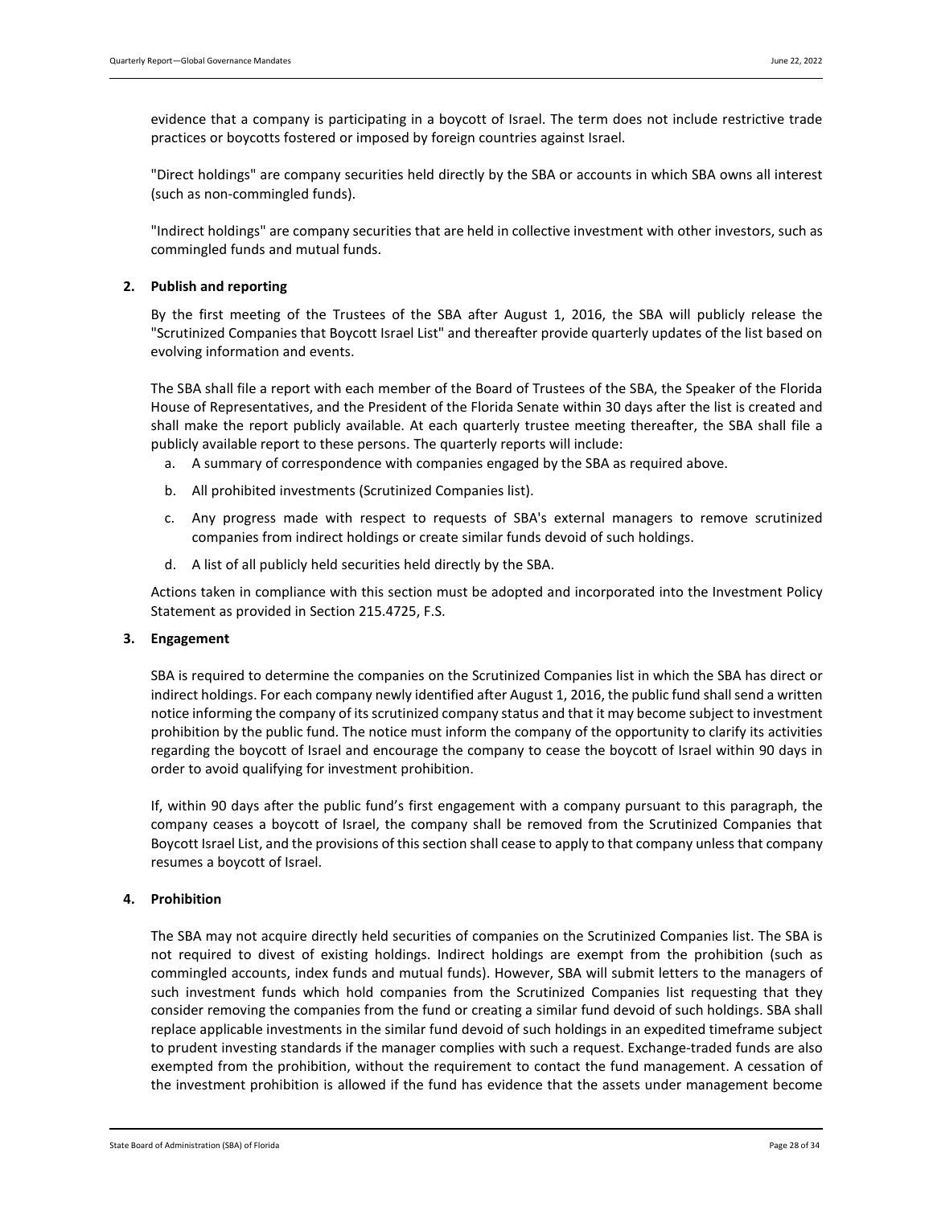evidence that a company is participating in a boycott of Israel. The term does not include restrictive trade practices or boycotts fostered or imposed by foreign countries against Israel.

"Direct holdings" are company securities held directly by the SBA or accounts in which SBA owns all interest (such as non-commingled funds).

"Indirect holdings" are company securities that are held in collective investment with other investors, such as commingled funds and mutual funds.

### **2. Publish and reporting**

By the first meeting of the Trustees of the SBA after August 1, 2016, the SBA will publicly release the "Scrutinized Companies that Boycott Israel List" and thereafter provide quarterly updates of the list based on evolving information and events.

The SBA shall file a report with each member of the Board of Trustees of the SBA, the Speaker of the Florida House of Representatives, and the President of the Florida Senate within 30 days after the list is created and shall make the report publicly available. At each quarterly trustee meeting thereafter, the SBA shall file a publicly available report to these persons. The quarterly reports will include:

- a. A summary of correspondence with companies engaged by the SBA as required above.
- b. All prohibited investments (Scrutinized Companies list).
- c. Any progress made with respect to requests of SBA's external managers to remove scrutinized companies from indirect holdings or create similar funds devoid of such holdings.
- d. A list of all publicly held securities held directly by the SBA.

Actions taken in compliance with this section must be adopted and incorporated into the Investment Policy Statement as provided in Section 215.4725, F.S.

### **3. Engagement**

SBA is required to determine the companies on the Scrutinized Companies list in which the SBA has direct or indirect holdings. For each company newly identified after August 1, 2016, the public fund shall send a written notice informing the company of its scrutinized company status and that it may become subject to investment prohibition by the public fund. The notice must inform the company of the opportunity to clarify its activities regarding the boycott of Israel and encourage the company to cease the boycott of Israel within 90 days in order to avoid qualifying for investment prohibition.

If, within 90 days after the public fund's first engagement with a company pursuant to this paragraph, the company ceases a boycott of Israel, the company shall be removed from the Scrutinized Companies that Boycott Israel List, and the provisions of this section shall cease to apply to that company unless that company resumes a boycott of Israel.

### **4. Prohibition**

The SBA may not acquire directly held securities of companies on the Scrutinized Companies list. The SBA is not required to divest of existing holdings. Indirect holdings are exempt from the prohibition (such as commingled accounts, index funds and mutual funds). However, SBA will submit letters to the managers of such investment funds which hold companies from the Scrutinized Companies list requesting that they consider removing the companies from the fund or creating a similar fund devoid of such holdings. SBA shall replace applicable investments in the similar fund devoid of such holdings in an expedited timeframe subject to prudent investing standards if the manager complies with such a request. Exchange-traded funds are also exempted from the prohibition, without the requirement to contact the fund management. A cessation of the investment prohibition is allowed if the fund has evidence that the assets under management become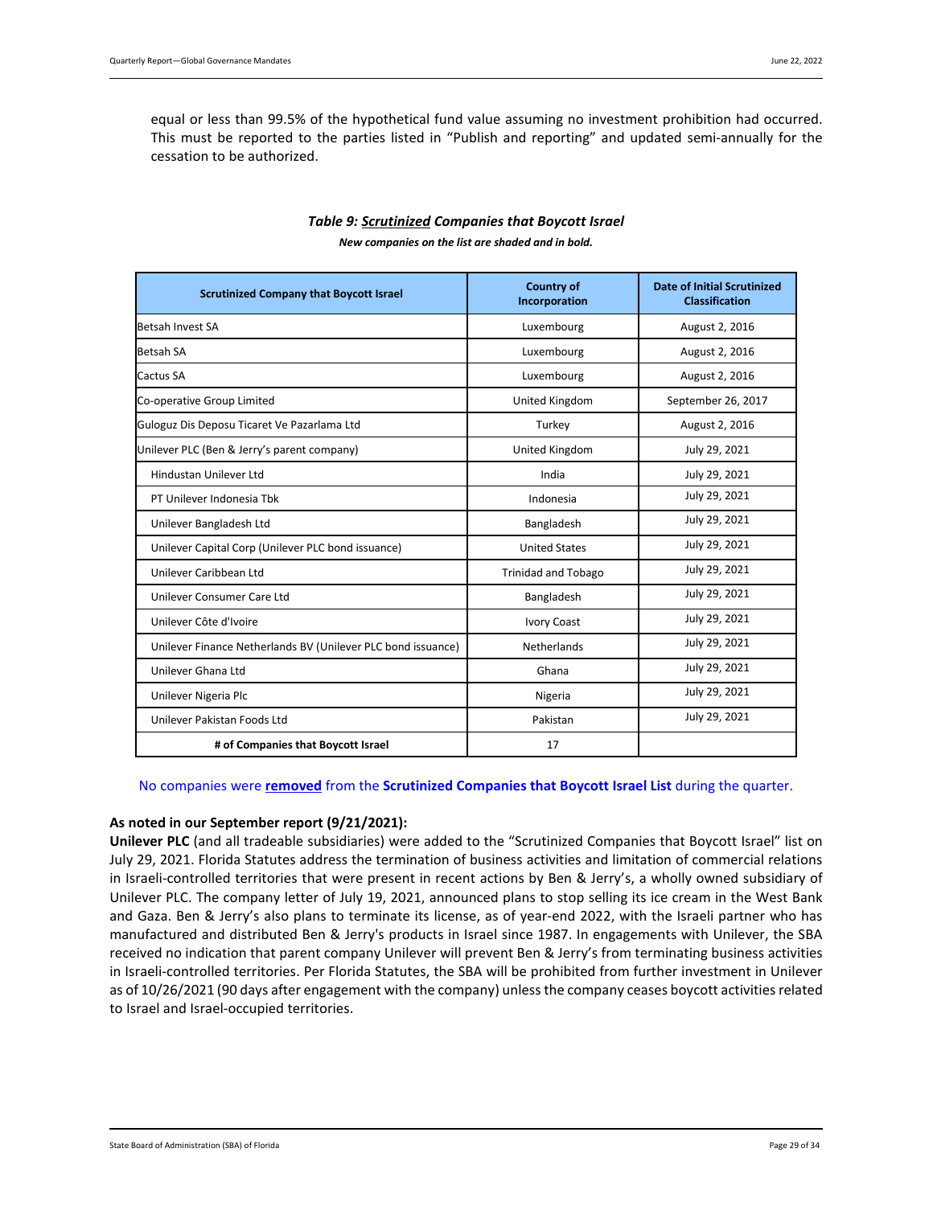equal or less than 99.5% of the hypothetical fund value assuming no investment prohibition had occurred. This must be reported to the parties listed in "Publish and reporting" and updated semi-annually for the cessation to be authorized.

<span id="page-28-0"></span>

| <b>Scrutinized Company that Boycott Israel</b>               | <b>Country of</b><br>Incorporation | <b>Date of Initial Scrutinized</b><br><b>Classification</b> |
|--------------------------------------------------------------|------------------------------------|-------------------------------------------------------------|
| Betsah Invest SA                                             | Luxembourg                         | August 2, 2016                                              |
| <b>Betsah SA</b>                                             | Luxembourg                         | August 2, 2016                                              |
| Cactus SA                                                    | Luxembourg                         | August 2, 2016                                              |
| Co-operative Group Limited                                   | United Kingdom                     | September 26, 2017                                          |
| Guloguz Dis Deposu Ticaret Ve Pazarlama Ltd                  | Turkey                             | August 2, 2016                                              |
| Unilever PLC (Ben & Jerry's parent company)                  | United Kingdom                     | July 29, 2021                                               |
| Hindustan Unilever Ltd                                       | India                              | July 29, 2021                                               |
| PT Unilever Indonesia Tbk                                    | Indonesia                          | July 29, 2021                                               |
| Unilever Bangladesh Ltd                                      | Bangladesh                         | July 29, 2021                                               |
| Unilever Capital Corp (Unilever PLC bond issuance)           | <b>United States</b>               | July 29, 2021                                               |
| Unilever Caribbean Ltd                                       | <b>Trinidad and Tobago</b>         | July 29, 2021                                               |
| Unilever Consumer Care Ltd                                   | Bangladesh                         | July 29, 2021                                               |
| Unilever Côte d'Ivoire                                       | <b>Ivory Coast</b>                 | July 29, 2021                                               |
| Unilever Finance Netherlands BV (Unilever PLC bond issuance) | <b>Netherlands</b>                 | July 29, 2021                                               |
| Unilever Ghana Ltd                                           | Ghana                              | July 29, 2021                                               |
| Unilever Nigeria Plc                                         | Nigeria                            | July 29, 2021                                               |
| Unilever Pakistan Foods Ltd                                  | Pakistan                           | July 29, 2021                                               |
| # of Companies that Boycott Israel                           | 17                                 |                                                             |

# *Table 9: Scrutinized Companies that Boycott Israel*

*New companies on the list are shaded and in bold.*

### No companies were **removed** from the **Scrutinized Companies that Boycott Israel List** during the quarter.

### **As noted in our September report (9/21/2021):**

**Unilever PLC** (and all tradeable subsidiaries) were added to the "Scrutinized Companies that Boycott Israel" list on July 29, 2021. Florida Statutes address the termination of business activities and limitation of commercial relations in Israeli-controlled territories that were present in recent actions by Ben & Jerry's, a wholly owned subsidiary of Unilever PLC. The company letter of July 19, 2021, announced plans to stop selling its ice cream in the West Bank and Gaza. Ben & Jerry's also plans to terminate its license, as of year-end 2022, with the Israeli partner who has manufactured and distributed Ben & Jerry's products in Israel since 1987. In engagements with Unilever, the SBA received no indication that parent company Unilever will prevent Ben & Jerry's from terminating business activities in Israeli-controlled territories. Per Florida Statutes, the SBA will be prohibited from further investment in Unilever as of 10/26/2021 (90 days after engagement with the company) unlessthe company ceases boycott activities related to Israel and Israel-occupied territories.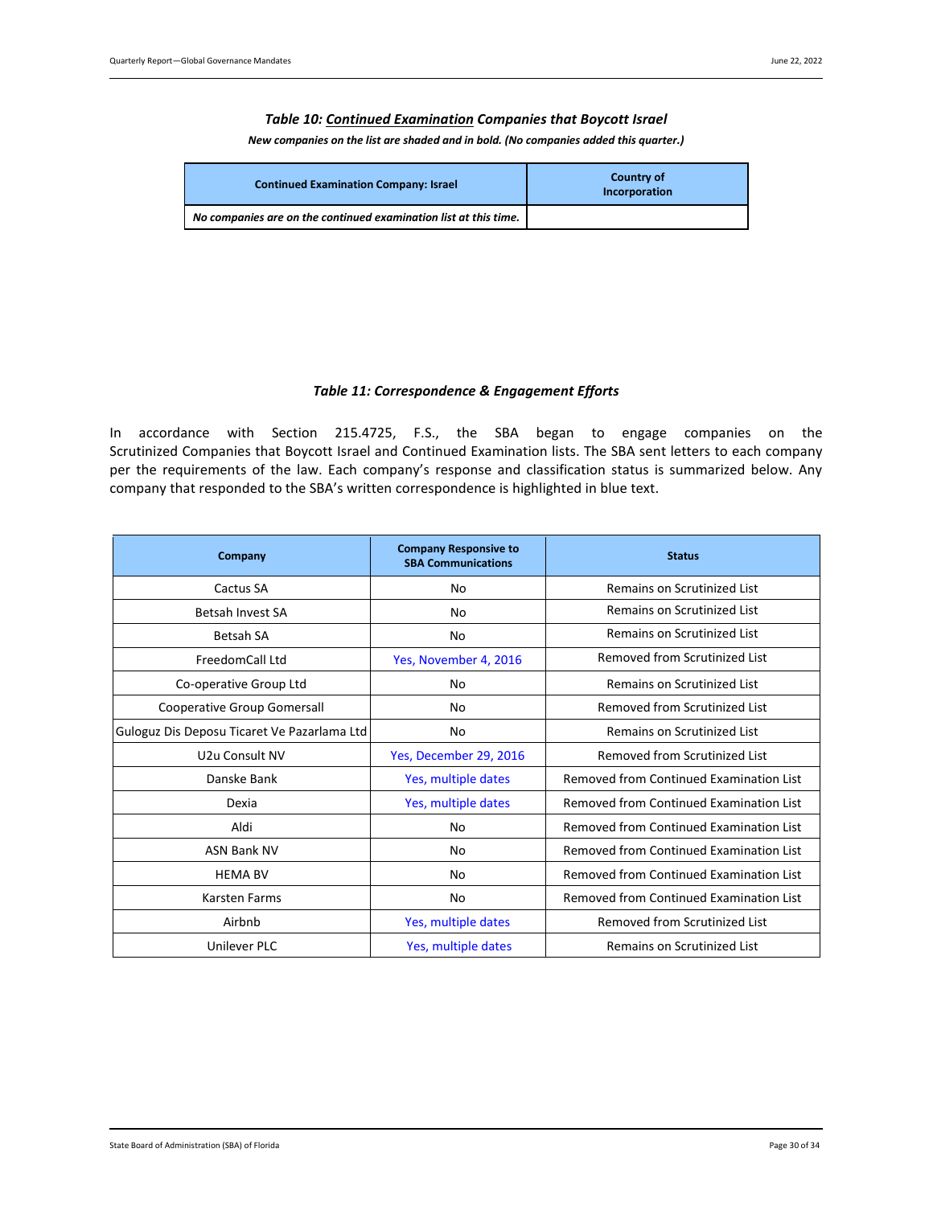### *Table 10: Continued Examination Companies that Boycott Israel*

*New companies on the list are shaded and in bold. (No companies added this quarter.)*

<span id="page-29-0"></span>

| <b>Continued Examination Company: Israel</b>                     | <b>Country of</b><br>Incorporation |
|------------------------------------------------------------------|------------------------------------|
| No companies are on the continued examination list at this time. |                                    |

### *Table 11: Correspondence & Engagement Efforts*

<span id="page-29-1"></span>In accordance with Section 215.4725, F.S., the SBA began to engage companies on the Scrutinized Companies that Boycott Israel and Continued Examination lists. The SBA sent letters to each company per the requirements of the law. Each company's response and classification status is summarized below. Any company that responded to the SBA's written correspondence is highlighted in blue text.

| Company                                     | <b>Company Responsive to</b><br><b>SBA Communications</b> | <b>Status</b>                                  |
|---------------------------------------------|-----------------------------------------------------------|------------------------------------------------|
| Cactus SA                                   | No                                                        | Remains on Scrutinized List                    |
| Betsah Invest SA                            | No                                                        | Remains on Scrutinized List                    |
| <b>Betsah SA</b>                            | No                                                        | Remains on Scrutinized List                    |
| FreedomCall Ltd                             | Yes, November 4, 2016                                     | Removed from Scrutinized List                  |
| Co-operative Group Ltd                      | No                                                        | Remains on Scrutinized List                    |
| Cooperative Group Gomersall                 | No                                                        | Removed from Scrutinized List                  |
| Guloguz Dis Deposu Ticaret Ve Pazarlama Ltd | No                                                        | Remains on Scrutinized List                    |
| U <sub>2</sub> u Consult NV                 | Yes, December 29, 2016                                    | Removed from Scrutinized List                  |
| Danske Bank                                 | Yes, multiple dates                                       | <b>Removed from Continued Examination List</b> |
| Dexia                                       | Yes, multiple dates                                       | Removed from Continued Examination List        |
| Aldi                                        | No                                                        | Removed from Continued Examination List        |
| <b>ASN Bank NV</b>                          | No                                                        | Removed from Continued Examination List        |
| <b>HEMA BV</b>                              | No                                                        | <b>Removed from Continued Examination List</b> |
| <b>Karsten Farms</b>                        | No                                                        | <b>Removed from Continued Examination List</b> |
| Airbnb                                      | Yes, multiple dates                                       | Removed from Scrutinized List                  |
| Unilever PLC                                | Yes, multiple dates                                       | Remains on Scrutinized List                    |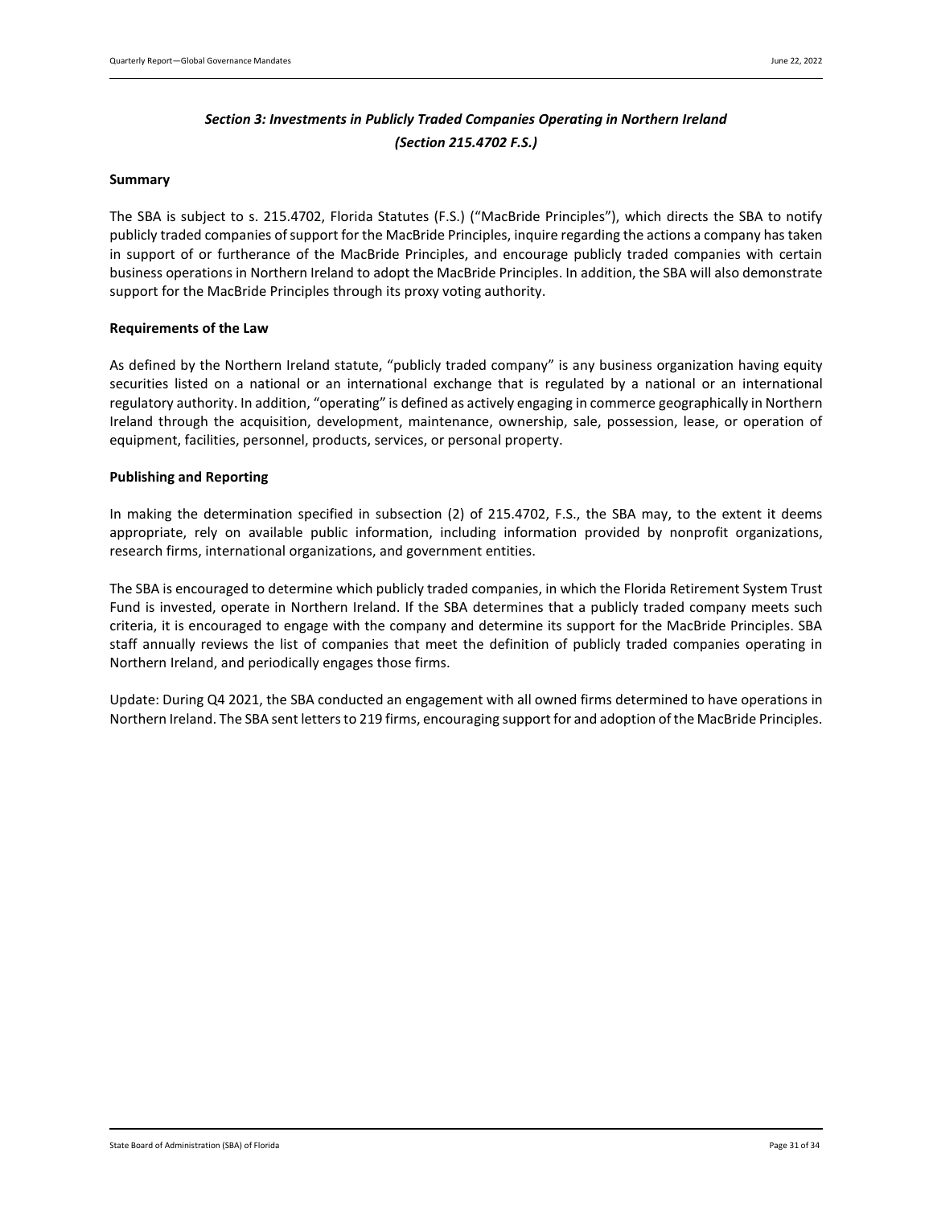# *Section 3: Investments in Publicly Traded Companies Operating in Northern Ireland (Section 215.4702 F.S.)*

### <span id="page-30-0"></span>**Summary**

The SBA is subject to s. 215.4702, Florida Statutes (F.S.) ("MacBride Principles"), which directs the SBA to notify publicly traded companies of support for the MacBride Principles, inquire regarding the actions a company has taken in support of or furtherance of the MacBride Principles, and encourage publicly traded companies with certain business operations in Northern Ireland to adopt the MacBride Principles. In addition, the SBA will also demonstrate support for the MacBride Principles through its proxy voting authority.

### **Requirements of the Law**

As defined by the Northern Ireland statute, "publicly traded company" is any business organization having equity securities listed on a national or an international exchange that is regulated by a national or an international regulatory authority. In addition, "operating" is defined as actively engaging in commerce geographically in Northern Ireland through the acquisition, development, maintenance, ownership, sale, possession, lease, or operation of equipment, facilities, personnel, products, services, or personal property.

### **Publishing and Reporting**

In making the determination specified in subsection (2) of 215.4702, F.S., the SBA may, to the extent it deems appropriate, rely on available public information, including information provided by nonprofit organizations, research firms, international organizations, and government entities.

The SBA is encouraged to determine which publicly traded companies, in which the Florida Retirement System Trust Fund is invested, operate in Northern Ireland. If the SBA determines that a publicly traded company meets such criteria, it is encouraged to engage with the company and determine its support for the MacBride Principles. SBA staff annually reviews the list of companies that meet the definition of publicly traded companies operating in Northern Ireland, and periodically engages those firms.

Update: During Q4 2021, the SBA conducted an engagement with all owned firms determined to have operations in Northern Ireland. The SBA sent letters to 219 firms, encouraging support for and adoption of the MacBride Principles.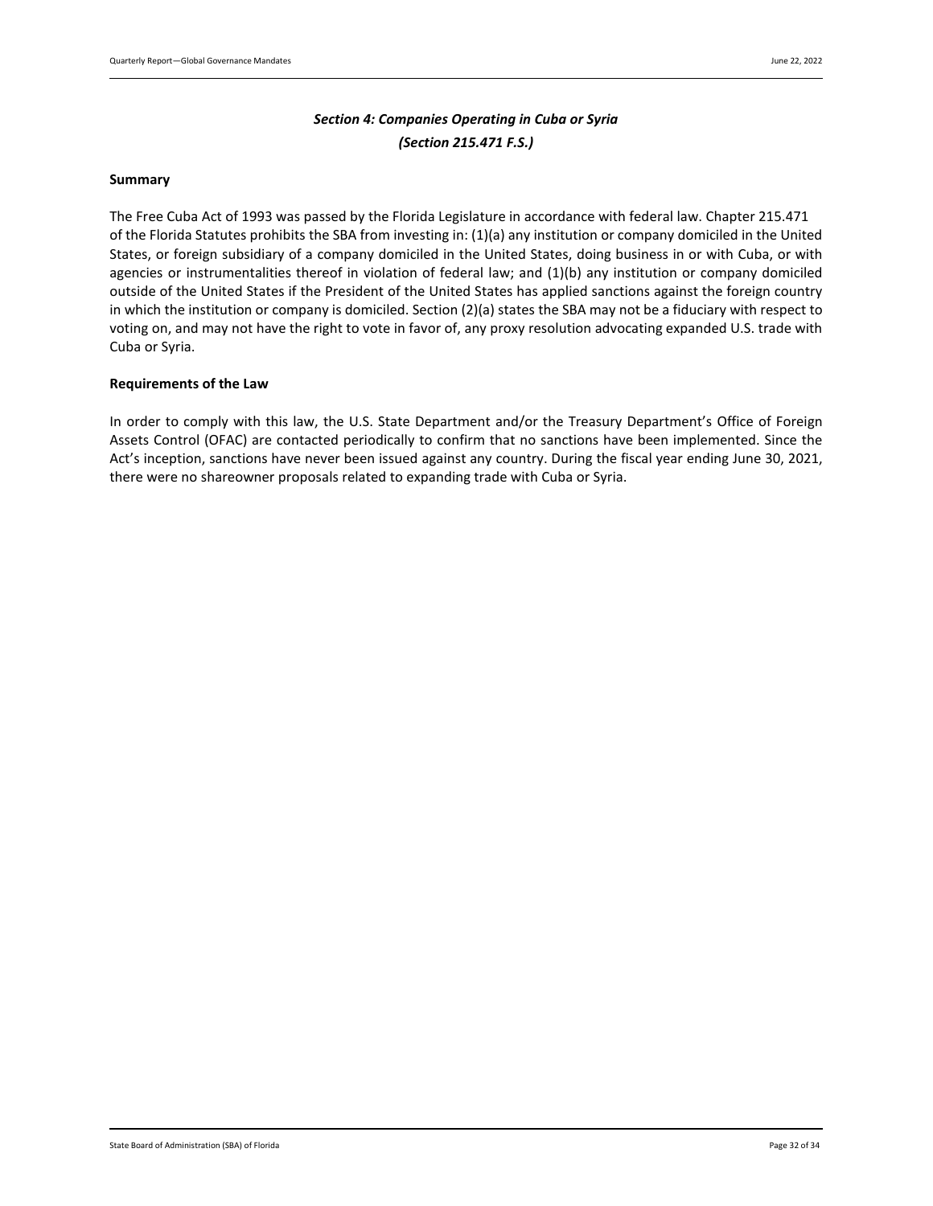# *Section 4: Companies Operating in Cuba or Syria (Section 215.471 F.S.)*

### <span id="page-31-0"></span>**Summary**

The Free Cuba Act of 1993 was passed by the Florida Legislature in accordance with federal law. Chapter 215.471 of the Florida Statutes prohibits the SBA from investing in: (1)(a) any institution or company domiciled in the United States, or foreign subsidiary of a company domiciled in the United States, doing business in or with Cuba, or with agencies or instrumentalities thereof in violation of federal law; and (1)(b) any institution or company domiciled outside of the United States if the President of the United States has applied sanctions against the foreign country in which the institution or company is domiciled. Section (2)(a) states the SBA may not be a fiduciary with respect to voting on, and may not have the right to vote in favor of, any proxy resolution advocating expanded U.S. trade with Cuba or Syria.

### **Requirements of the Law**

In order to comply with this law, the U.S. State Department and/or the Treasury Department's Office of Foreign Assets Control (OFAC) are contacted periodically to confirm that no sanctions have been implemented. Since the Act's inception, sanctions have never been issued against any country. During the fiscal year ending June 30, 2021, there were no shareowner proposals related to expanding trade with Cuba or Syria.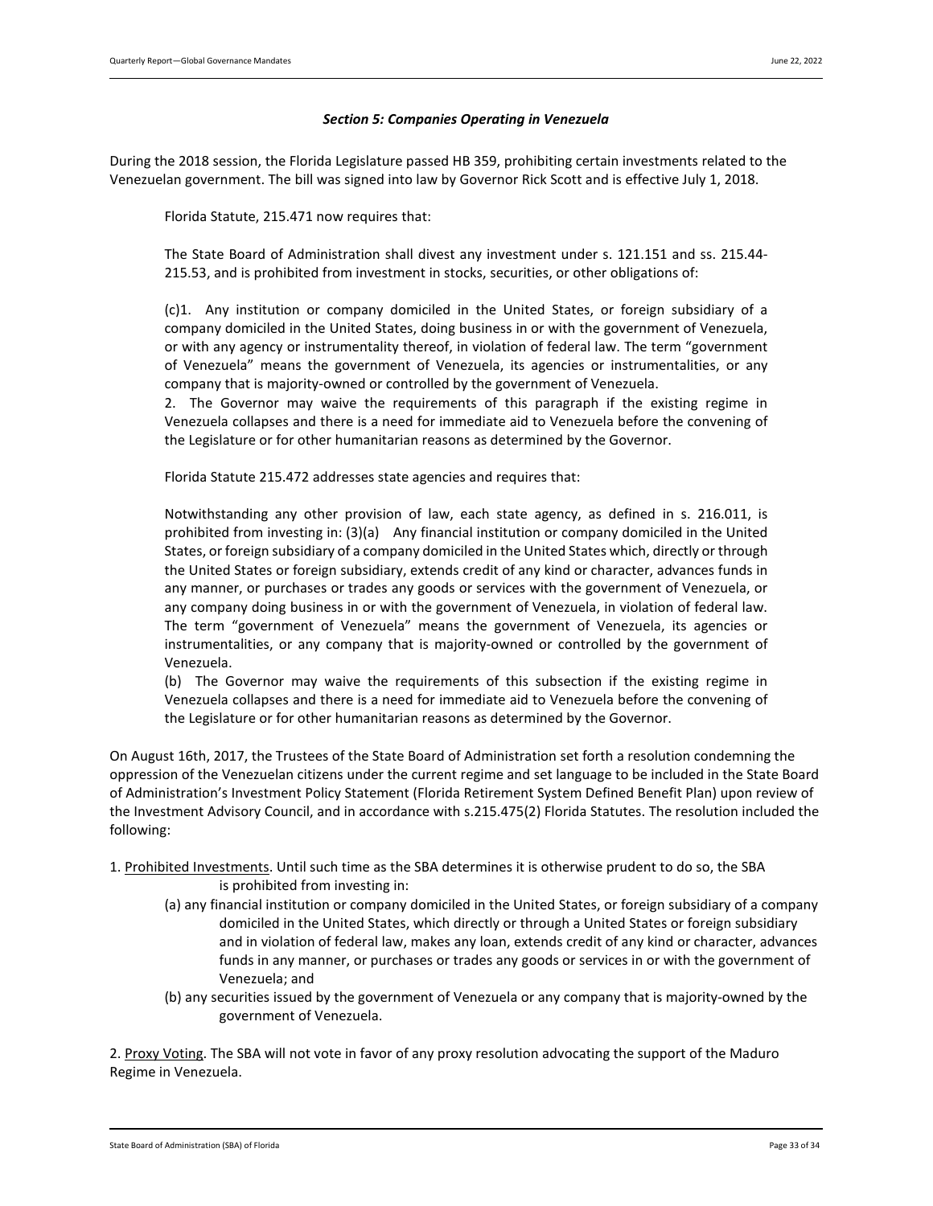#### *Section 5: Companies Operating in Venezuela*

<span id="page-32-0"></span>During the 2018 session, the Florida Legislature passed HB 359, prohibiting certain investments related to the Venezuelan government. The bill was signed into law by Governor Rick Scott and is effective July 1, 2018.

Florida Statute, 215.471 now requires that:

The State Board of Administration shall divest any investment under s. [121.151](http://www.leg.state.fl.us/statutes/index.cfm?App_mode=Display_Statute&Search_String=venezuela&URL=0100-0199/0121/Sections/0121.151.html) and ss. [215.44-](http://www.leg.state.fl.us/statutes/index.cfm?App_mode=Display_Statute&Search_String=venezuela&URL=0200-0299/0215/Sections/0215.44.html) [215.53,](http://www.leg.state.fl.us/statutes/index.cfm?App_mode=Display_Statute&Search_String=venezuela&URL=0200-0299/0215/Sections/0215.53.html) and is prohibited from investment in stocks, securities, or other obligations of:

(c)1. Any institution or company domiciled in the United States, or foreign subsidiary of a company domiciled in the United States, doing business in or with the government of Venezuela, or with any agency or instrumentality thereof, in violation of federal law. The term "government of Venezuela" means the government of Venezuela, its agencies or instrumentalities, or any company that is majority-owned or controlled by the government of Venezuela.

2. The Governor may waive the requirements of this paragraph if the existing regime in Venezuela collapses and there is a need for immediate aid to Venezuela before the convening of the Legislature or for other humanitarian reasons as determined by the Governor.

Florida Statute 215.472 addresses state agencies and requires that:

Notwithstanding any other provision of law, each state agency, as defined in s. [216.011,](http://www.leg.state.fl.us/statutes/index.cfm?App_mode=Display_Statute&Search_String=venezuela&URL=0200-0299/0216/Sections/0216.011.html) is prohibited from investing in: (3)(a) Any financial institution or company domiciled in the United States, or foreign subsidiary of a company domiciled in the United States which, directly or through the United States or foreign subsidiary, extends credit of any kind or character, advances funds in any manner, or purchases or trades any goods or services with the government of Venezuela, or any company doing business in or with the government of Venezuela, in violation of federal law. The term "government of Venezuela" means the government of Venezuela, its agencies or instrumentalities, or any company that is majority-owned or controlled by the government of Venezuela.

(b) The Governor may waive the requirements of this subsection if the existing regime in Venezuela collapses and there is a need for immediate aid to Venezuela before the convening of the Legislature or for other humanitarian reasons as determined by the Governor.

On August 16th, 2017, the Trustees of the State Board of Administration set forth a resolution condemning the oppression of the Venezuelan citizens under the current regime and set language to be included in the State Board of Administration's Investment Policy Statement (Florida Retirement System Defined Benefit Plan) upon review of the Investment Advisory Council, and in accordance with s.215.475(2) Florida Statutes. The resolution included the following:

- 1. Prohibited Investments. Until such time as the SBA determines it is otherwise prudent to do so, the SBA is prohibited from investing in:
	- (a) any financial institution or company domiciled in the United States, or foreign subsidiary of a company domiciled in the United States, which directly or through a United States or foreign subsidiary and in violation of federal law, makes any loan, extends credit of any kind or character, advances funds in any manner, or purchases or trades any goods or services in or with the government of Venezuela; and
	- (b) any securities issued by the government of Venezuela or any company that is majority-owned by the government of Venezuela.

2. Proxy Voting. The SBA will not vote in favor of any proxy resolution advocating the support of the Maduro Regime in Venezuela.